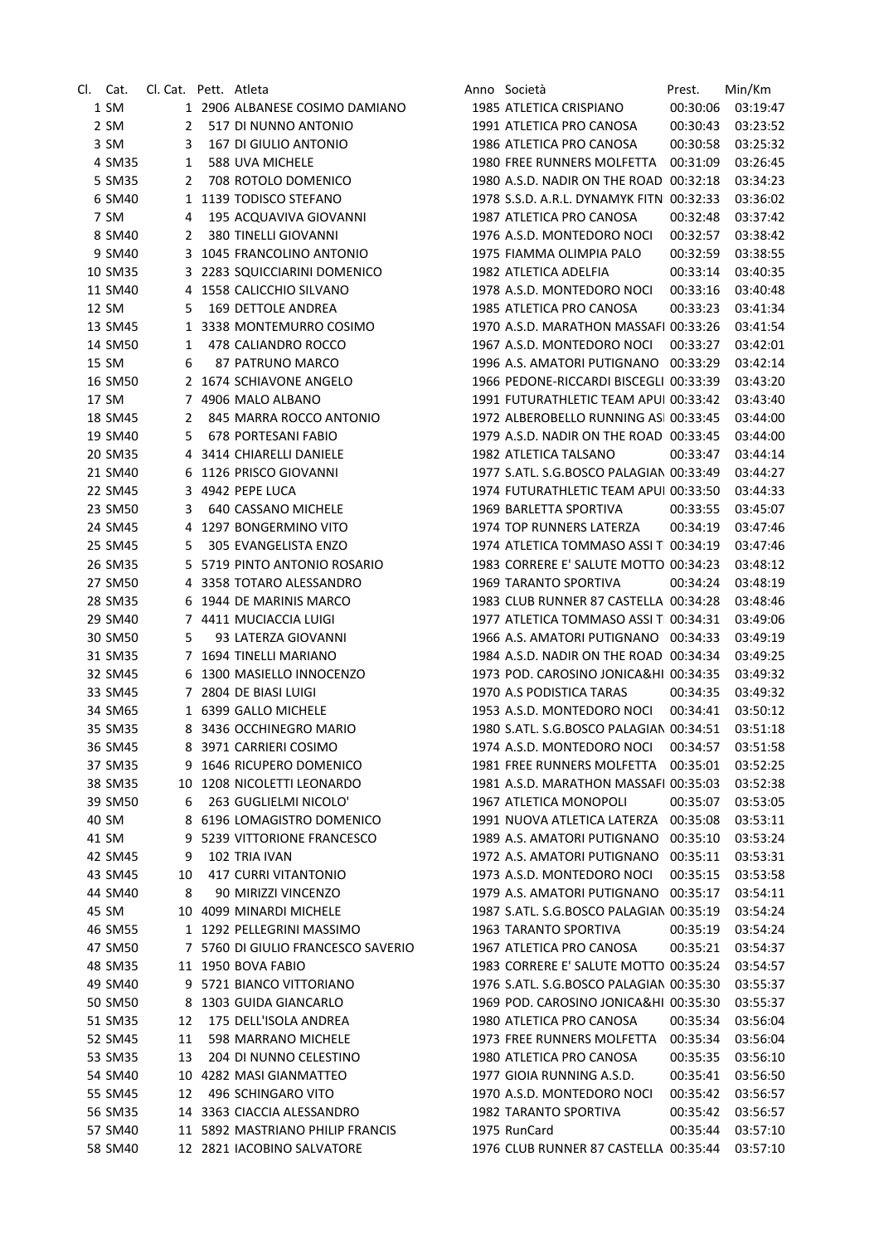| Cl. Cat.           | Cl. Cat. Pett. Atleta |                                    | Anno Società                                   | Prest.   | Min/Km               |
|--------------------|-----------------------|------------------------------------|------------------------------------------------|----------|----------------------|
| 1 SM               |                       | 1 2906 ALBANESE COSIMO DAMIANO     | 1985 ATLETICA CRISPIANO                        | 00:30:06 | 03:19:47             |
| 2 SM               | 2                     | 517 DI NUNNO ANTONIO               | 1991 ATLETICA PRO CANOSA                       | 00:30:43 | 03:23:52             |
| 3 SM               | 3                     | 167 DI GIULIO ANTONIO              | 1986 ATLETICA PRO CANOSA                       | 00:30:58 | 03:25:32             |
| 4 SM35             | 1                     | 588 UVA MICHELE                    | 1980 FREE RUNNERS MOLFETTA                     | 00:31:09 | 03:26:45             |
| 5 SM35             | 2                     | 708 ROTOLO DOMENICO                | 1980 A.S.D. NADIR ON THE ROAD 00:32:18         |          | 03:34:23             |
| 6 SM40             |                       | 1 1139 TODISCO STEFANO             | 1978 S.S.D. A.R.L. DYNAMYK FITN 00:32:33       |          | 03:36:02             |
| 7 SM               | 4                     | 195 ACQUAVIVA GIOVANNI             | 1987 ATLETICA PRO CANOSA                       | 00:32:48 | 03:37:42             |
| 8 SM40             | 2                     | 380 TINELLI GIOVANNI               | 1976 A.S.D. MONTEDORO NOCI                     | 00:32:57 | 03:38:42             |
| 9 SM40             |                       | 3 1045 FRANCOLINO ANTONIO          | 1975 FIAMMA OLIMPIA PALO                       | 00:32:59 | 03:38:55             |
| 10 SM35            |                       | 3 2283 SQUICCIARINI DOMENICO       | 1982 ATLETICA ADELFIA                          | 00:33:14 | 03:40:35             |
| 11 SM40            |                       | 4 1558 CALICCHIO SILVANO           | 1978 A.S.D. MONTEDORO NOCI                     | 00:33:16 | 03:40:48             |
| 12 SM              | 5                     | 169 DETTOLE ANDREA                 | 1985 ATLETICA PRO CANOSA                       | 00:33:23 | 03:41:34             |
| 13 SM45            |                       | 1 3338 MONTEMURRO COSIMO           | 1970 A.S.D. MARATHON MASSAFI 00:33:26          |          | 03:41:54             |
| 14 SM50            | 1                     | 478 CALIANDRO ROCCO                | 1967 A.S.D. MONTEDORO NOCI                     | 00:33:27 | 03:42:01             |
| 15 SM              | 6                     | 87 PATRUNO MARCO                   | 1996 A.S. AMATORI PUTIGNANO 00:33:29           |          | 03:42:14             |
| 16 SM50            |                       | 2 1674 SCHIAVONE ANGELO            | 1966 PEDONE-RICCARDI BISCEGLI 00:33:39         |          | 03:43:20             |
| 17 SM              |                       | 7 4906 MALO ALBANO                 | 1991 FUTURATHLETIC TEAM APUI 00:33:42          |          | 03:43:40             |
| 18 SM45            | 2                     | 845 MARRA ROCCO ANTONIO            | 1972 ALBEROBELLO RUNNING ASI 00:33:45          |          | 03:44:00             |
| 19 SM40            | 5                     | 678 PORTESANI FABIO                | 1979 A.S.D. NADIR ON THE ROAD 00:33:45         |          | 03:44:00             |
| 20 SM35            |                       | 4 3414 CHIARELLI DANIELE           | 1982 ATLETICA TALSANO                          | 00:33:47 | 03:44:14             |
| 21 SM40            |                       | 6 1126 PRISCO GIOVANNI             | 1977 S.ATL. S.G.BOSCO PALAGIAN 00:33:49        |          | 03:44:27             |
| 22 SM45            |                       | 3 4942 PEPE LUCA                   | 1974 FUTURATHLETIC TEAM APUI 00:33:50          |          | 03:44:33             |
| 23 SM50            | 3                     | 640 CASSANO MICHELE                | 1969 BARLETTA SPORTIVA                         | 00:33:55 | 03:45:07             |
| 24 SM45            |                       | 4 1297 BONGERMINO VITO             | 1974 TOP RUNNERS LATERZA                       | 00:34:19 | 03:47:46             |
| 25 SM45            | 5                     | 305 EVANGELISTA ENZO               | 1974 ATLETICA TOMMASO ASSI T 00:34:19          |          | 03:47:46             |
| 26 SM35            |                       | 5 5719 PINTO ANTONIO ROSARIO       | 1983 CORRERE E' SALUTE MOTTO 00:34:23          |          | 03:48:12             |
| 27 SM50            |                       | 4 3358 TOTARO ALESSANDRO           | <b>1969 TARANTO SPORTIVA</b>                   | 00:34:24 | 03:48:19             |
| 28 SM35            |                       | 6 1944 DE MARINIS MARCO            | 1983 CLUB RUNNER 87 CASTELLA 00:34:28          |          | 03:48:46             |
| 29 SM40            |                       | 7 4411 MUCIACCIA LUIGI             | 1977 ATLETICA TOMMASO ASSI T 00:34:31          |          | 03:49:06             |
| 30 SM50            | 5                     | 93 LATERZA GIOVANNI                | 1966 A.S. AMATORI PUTIGNANO 00:34:33           |          | 03:49:19             |
| 31 SM35            |                       | 7 1694 TINELLI MARIANO             | 1984 A.S.D. NADIR ON THE ROAD 00:34:34         |          | 03:49:25             |
| 32 SM45            |                       | 6 1300 MASIELLO INNOCENZO          | 1973 POD. CAROSINO JONICA&HI 00:34:35          |          | 03:49:32             |
| 33 SM45            |                       | 7 2804 DE BIASI LUIGI              | 1970 A.S PODISTICA TARAS                       | 00:34:35 | 03:49:32             |
| 34 SM65            |                       | 1 6399 GALLO MICHELE               | 1953 A.S.D. MONTEDORO NOCI                     | 00:34:41 | 03:50:12             |
| 35 SM35            |                       | 8 3436 OCCHINEGRO MARIO            | 1980 S.ATL. S.G.BOSCO PALAGIAN 00:34:51        |          | 03:51:18             |
| 36 SM45            |                       | 8 3971 CARRIERI COSIMO             | 1974 A.S.D. MONTEDORO NOCI  00:34:57  03:51:58 |          |                      |
| 37 SM35            |                       | 9 1646 RICUPERO DOMENICO           | 1981 FREE RUNNERS MOLFETTA 00:35:01            |          | 03:52:25             |
| 38 SM35            |                       | 10 1208 NICOLETTI LEONARDO         | 1981 A.S.D. MARATHON MASSAFI 00:35:03          |          | 03:52:38             |
| 39 SM50            | 6                     | 263 GUGLIELMI NICOLO'              | 1967 ATLETICA MONOPOLI                         | 00:35:07 | 03:53:05             |
| 40 SM              |                       | 8 6196 LOMAGISTRO DOMENICO         | 1991 NUOVA ATLETICA LATERZA 00:35:08           |          | 03:53:11             |
| 41 SM              |                       | 9 5239 VITTORIONE FRANCESCO        | 1989 A.S. AMATORI PUTIGNANO                    | 00:35:10 | 03:53:24             |
| 42 SM45            | 9                     | 102 TRIA IVAN                      | 1972 A.S. AMATORI PUTIGNANO                    | 00:35:11 | 03:53:31             |
| 43 SM45            | 10                    | <b>417 CURRI VITANTONIO</b>        | 1973 A.S.D. MONTEDORO NOCI                     | 00:35:15 | 03:53:58             |
| 44 SM40            | 8                     | 90 MIRIZZI VINCENZO                | 1979 A.S. AMATORI PUTIGNANO 00:35:17           |          | 03:54:11             |
| 45 SM              |                       | 10 4099 MINARDI MICHELE            | 1987 S.ATL. S.G.BOSCO PALAGIAN 00:35:19        |          | 03:54:24             |
| 46 SM55            |                       | 1 1292 PELLEGRINI MASSIMO          | 1963 TARANTO SPORTIVA                          | 00:35:19 | 03:54:24             |
| 47 SM50            |                       | 7 5760 DI GIULIO FRANCESCO SAVERIO | 1967 ATLETICA PRO CANOSA                       | 00:35:21 | 03:54:37             |
| 48 SM35            |                       | 11 1950 BOVA FABIO                 | 1983 CORRERE E' SALUTE MOTTO 00:35:24          |          | 03:54:57             |
| 49 SM40            |                       | 9 5721 BIANCO VITTORIANO           | 1976 S.ATL. S.G.BOSCO PALAGIAN 00:35:30        |          | 03:55:37             |
| 50 SM50            | 8                     | 1303 GUIDA GIANCARLO               | 1969 POD. CAROSINO JONICA&HI 00:35:30          |          | 03:55:37             |
| 51 SM35            | 12                    | 175 DELL'ISOLA ANDREA              | 1980 ATLETICA PRO CANOSA                       | 00:35:34 | 03:56:04             |
| 52 SM45            | 11                    | 598 MARRANO MICHELE                | 1973 FREE RUNNERS MOLFETTA                     | 00:35:34 | 03:56:04             |
| 53 SM35            | 13                    | 204 DI NUNNO CELESTINO             | 1980 ATLETICA PRO CANOSA                       | 00:35:35 | 03:56:10             |
| 54 SM40            |                       | 10 4282 MASI GIANMATTEO            | 1977 GIOIA RUNNING A.S.D.                      | 00:35:41 | 03:56:50             |
| 55 SM45            | 12                    | 496 SCHINGARO VITO                 | 1970 A.S.D. MONTEDORO NOCI                     | 00:35:42 | 03:56:57             |
| 56 SM35            |                       | 14 3363 CIACCIA ALESSANDRO         | 1982 TARANTO SPORTIVA                          | 00:35:42 | 03:56:57             |
|                    |                       | 11 5892 MASTRIANO PHILIP FRANCIS   | 1975 RunCard                                   | 00:35:44 |                      |
| 57 SM40<br>58 SM40 |                       | 12 2821 IACOBINO SALVATORE         | 1976 CLUB RUNNER 87 CASTELLA 00:35:44          |          | 03:57:10<br>03:57:10 |
|                    |                       |                                    |                                                |          |                      |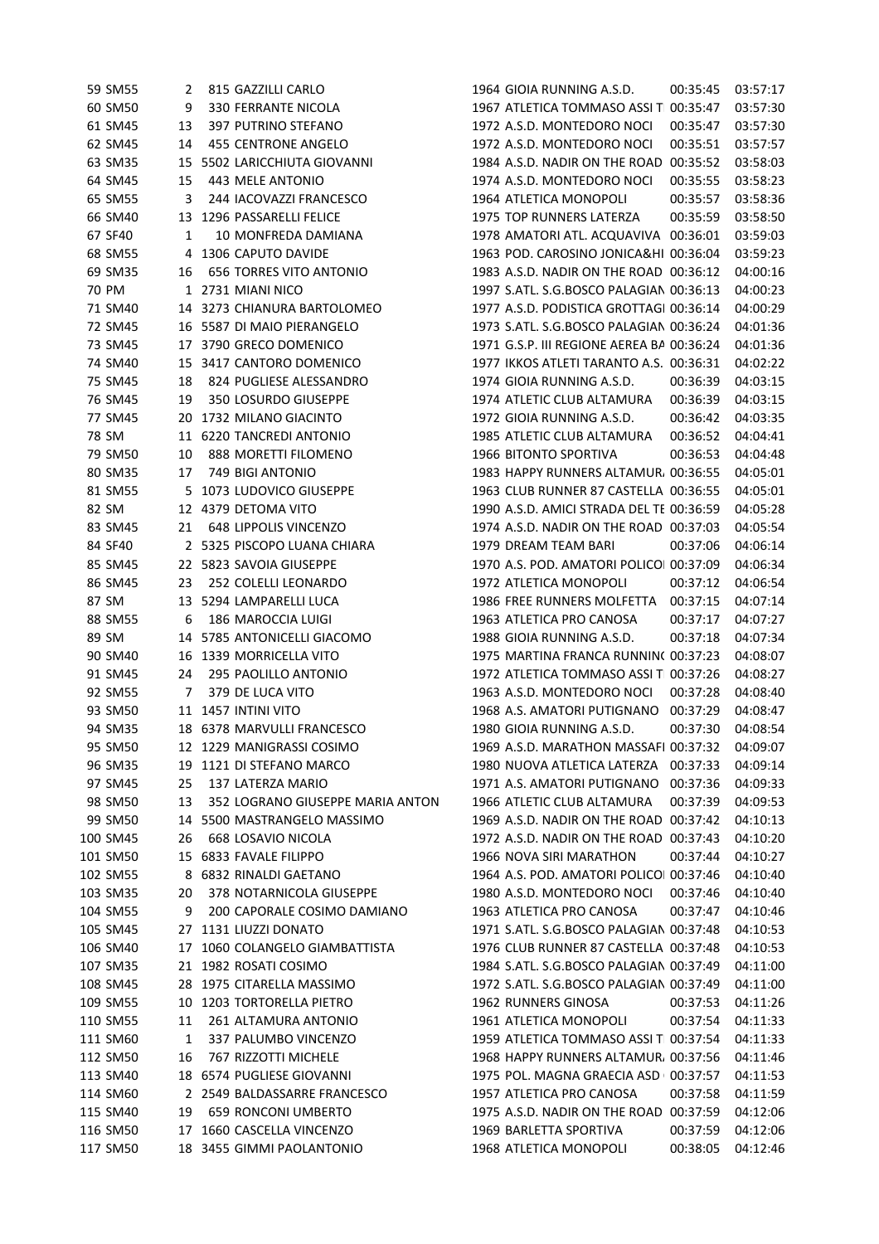| 59 SM55  | 2  | 815 GAZZILLI CARLO               | 1964 GIOIA RUNNING A.S.D.                      | 00:35:45 | 03:57:17 |
|----------|----|----------------------------------|------------------------------------------------|----------|----------|
| 60 SM50  | 9  | 330 FERRANTE NICOLA              | 1967 ATLETICA TOMMASO ASSI T 00:35:47          |          | 03:57:30 |
| 61 SM45  | 13 | 397 PUTRINO STEFANO              | 1972 A.S.D. MONTEDORO NOCI                     | 00:35:47 | 03:57:30 |
| 62 SM45  | 14 | 455 CENTRONE ANGELO              | 1972 A.S.D. MONTEDORO NOCI                     | 00:35:51 | 03:57:57 |
| 63 SM35  |    | 15 5502 LARICCHIUTA GIOVANNI     | 1984 A.S.D. NADIR ON THE ROAD 00:35:52         |          | 03:58:03 |
| 64 SM45  | 15 | 443 MELE ANTONIO                 | 1974 A.S.D. MONTEDORO NOCI                     | 00:35:55 | 03:58:23 |
| 65 SM55  | 3  | 244 IACOVAZZI FRANCESCO          | 1964 ATLETICA MONOPOLI                         | 00:35:57 | 03:58:36 |
| 66 SM40  |    | 13 1296 PASSARELLI FELICE        | 1975 TOP RUNNERS LATERZA                       | 00:35:59 | 03:58:50 |
| 67 SF40  | 1  | 10 MONFREDA DAMIANA              | 1978 AMATORI ATL. ACQUAVIVA 00:36:01           |          | 03:59:03 |
| 68 SM55  |    | 4 1306 CAPUTO DAVIDE             | 1963 POD. CAROSINO JONICA&HI 00:36:04          |          | 03:59:23 |
| 69 SM35  | 16 | <b>656 TORRES VITO ANTONIO</b>   | 1983 A.S.D. NADIR ON THE ROAD 00:36:12         |          | 04:00:16 |
| 70 PM    |    | 1 2731 MIANI NICO                | 1997 S.ATL. S.G.BOSCO PALAGIAN 00:36:13        |          | 04:00:23 |
| 71 SM40  |    | 14 3273 CHIANURA BARTOLOMEO      | 1977 A.S.D. PODISTICA GROTTAGI 00:36:14        |          | 04:00:29 |
| 72 SM45  |    | 16 5587 DI MAIO PIERANGELO       | 1973 S.ATL. S.G.BOSCO PALAGIAN 00:36:24        |          | 04:01:36 |
| 73 SM45  |    | 17 3790 GRECO DOMENICO           | 1971 G.S.P. III REGIONE AEREA BA 00:36:24      |          | 04:01:36 |
| 74 SM40  |    | 15 3417 CANTORO DOMENICO         | 1977 IKKOS ATLETI TARANTO A.S. 00:36:31        |          | 04:02:22 |
| 75 SM45  | 18 | 824 PUGLIESE ALESSANDRO          | 1974 GIOIA RUNNING A.S.D.                      | 00:36:39 | 04:03:15 |
| 76 SM45  | 19 | 350 LOSURDO GIUSEPPE             | 1974 ATLETIC CLUB ALTAMURA                     | 00:36:39 | 04:03:15 |
| 77 SM45  |    | 20 1732 MILANO GIACINTO          | 1972 GIOIA RUNNING A.S.D.                      | 00:36:42 | 04:03:35 |
| 78 SM    |    | 11 6220 TANCREDI ANTONIO         | 1985 ATLETIC CLUB ALTAMURA                     | 00:36:52 | 04:04:41 |
| 79 SM50  | 10 | 888 MORETTI FILOMENO             | 1966 BITONTO SPORTIVA                          | 00:36:53 | 04:04:48 |
| 80 SM35  | 17 | 749 BIGI ANTONIO                 | 1983 HAPPY RUNNERS ALTAMUR. 00:36:55           |          | 04:05:01 |
| 81 SM55  |    | 5 1073 LUDOVICO GIUSEPPE         | 1963 CLUB RUNNER 87 CASTELLA 00:36:55          |          | 04:05:01 |
| 82 SM    |    | 12 4379 DETOMA VITO              | 1990 A.S.D. AMICI STRADA DEL TE 00:36:59       |          | 04:05:28 |
| 83 SM45  | 21 | <b>648 LIPPOLIS VINCENZO</b>     | 1974 A.S.D. NADIR ON THE ROAD 00:37:03         |          | 04:05:54 |
| 84 SF40  |    | 2 5325 PISCOPO LUANA CHIARA      | 1979 DREAM TEAM BARI                           | 00:37:06 | 04:06:14 |
| 85 SM45  |    | 22 5823 SAVOIA GIUSEPPE          | 1970 A.S. POD. AMATORI POLICO 00:37:09         |          | 04:06:34 |
|          |    |                                  |                                                |          |          |
| 86 SM45  | 23 | 252 COLELLI LEONARDO             | 1972 ATLETICA MONOPOLI                         | 00:37:12 | 04:06:54 |
| 87 SM    |    | 13 5294 LAMPARELLI LUCA          | 1986 FREE RUNNERS MOLFETTA                     | 00:37:15 | 04:07:14 |
| 88 SM55  | 6  | 186 MAROCCIA LUIGI               | 1963 ATLETICA PRO CANOSA                       | 00:37:17 | 04:07:27 |
| 89 SM    | 14 | 5785 ANTONICELLI GIACOMO         | 1988 GIOIA RUNNING A.S.D.                      | 00:37:18 | 04:07:34 |
| 90 SM40  |    | 16 1339 MORRICELLA VITO          | 1975 MARTINA FRANCA RUNNIN( 00:37:23           |          | 04:08:07 |
| 91 SM45  | 24 | 295 PAOLILLO ANTONIO             | 1972 ATLETICA TOMMASO ASSI T 00:37:26          |          | 04:08:27 |
| 92 SM55  | 7  | 379 DE LUCA VITO                 | 1963 A.S.D. MONTEDORO NOCI                     | 00:37:28 | 04:08:40 |
| 93 SM50  |    | 11 1457 INTINI VITO              | 1968 A.S. AMATORI PUTIGNANO 00:37:29           |          | 04:08:47 |
| 94 SM35  |    | 18 6378 MARVULLI FRANCESCO       | 1980 GIOIA RUNNING A.S.D.                      | 00:37:30 | 04:08:54 |
| 95 SM50  |    | 12 1229 MANIGRASSI COSIMO        | 1969 A.S.D. MARATHON MASSAFI 00:37:32 04:09:07 |          |          |
| 96 SM35  |    | 19 1121 DI STEFANO MARCO         | 1980 NUOVA ATLETICA LATERZA 00:37:33           |          | 04:09:14 |
| 97 SM45  | 25 | 137 LATERZA MARIO                | 1971 A.S. AMATORI PUTIGNANO                    | 00:37:36 | 04:09:33 |
| 98 SM50  | 13 | 352 LOGRANO GIUSEPPE MARIA ANTON | 1966 ATLETIC CLUB ALTAMURA                     | 00:37:39 | 04:09:53 |
| 99 SM50  | 14 | 5500 MASTRANGELO MASSIMO         | 1969 A.S.D. NADIR ON THE ROAD 00:37:42         |          | 04:10:13 |
| 100 SM45 | 26 | 668 LOSAVIO NICOLA               | 1972 A.S.D. NADIR ON THE ROAD 00:37:43         |          | 04:10:20 |
| 101 SM50 |    | 15 6833 FAVALE FILIPPO           | 1966 NOVA SIRI MARATHON                        | 00:37:44 | 04:10:27 |
| 102 SM55 | 8  | 6832 RINALDI GAETANO             | 1964 A.S. POD. AMATORI POLICO 00:37:46         |          | 04:10:40 |
| 103 SM35 | 20 | 378 NOTARNICOLA GIUSEPPE         | 1980 A.S.D. MONTEDORO NOCI                     | 00:37:46 | 04:10:40 |
| 104 SM55 | 9  | 200 CAPORALE COSIMO DAMIANO      | 1963 ATLETICA PRO CANOSA                       | 00:37:47 | 04:10:46 |
| 105 SM45 | 27 | 1131 LIUZZI DONATO               | 1971 S.ATL. S.G.BOSCO PALAGIAN 00:37:48        |          | 04:10:53 |
| 106 SM40 | 17 | 1060 COLANGELO GIAMBATTISTA      | 1976 CLUB RUNNER 87 CASTELLA 00:37:48          |          | 04:10:53 |
| 107 SM35 |    | 21 1982 ROSATI COSIMO            | 1984 S.ATL. S.G.BOSCO PALAGIAN 00:37:49        |          | 04:11:00 |
| 108 SM45 |    | 28 1975 CITARELLA MASSIMO        | 1972 S.ATL. S.G.BOSCO PALAGIAN 00:37:49        |          | 04:11:00 |
| 109 SM55 |    | 10 1203 TORTORELLA PIETRO        | 1962 RUNNERS GINOSA                            | 00:37:53 | 04:11:26 |
| 110 SM55 | 11 | 261 ALTAMURA ANTONIO             | 1961 ATLETICA MONOPOLI                         | 00:37:54 | 04:11:33 |
| 111 SM60 | 1  | 337 PALUMBO VINCENZO             | 1959 ATLETICA TOMMASO ASSI T 00:37:54          |          | 04:11:33 |
| 112 SM50 | 16 | 767 RIZZOTTI MICHELE             | 1968 HAPPY RUNNERS ALTAMUR, 00:37:56           |          | 04:11:46 |
| 113 SM40 |    | 18 6574 PUGLIESE GIOVANNI        | 1975 POL. MAGNA GRAECIA ASD 00:37:57           |          | 04:11:53 |
| 114 SM60 |    | 2 2549 BALDASSARRE FRANCESCO     | 1957 ATLETICA PRO CANOSA                       | 00:37:58 | 04:11:59 |
| 115 SM40 | 19 | 659 RONCONI UMBERTO              | 1975 A.S.D. NADIR ON THE ROAD 00:37:59         |          | 04:12:06 |
| 116 SM50 | 17 | 1660 CASCELLA VINCENZO           | 1969 BARLETTA SPORTIVA                         | 00:37:59 | 04:12:06 |
| 117 SM50 |    | 18 3455 GIMMI PAOLANTONIO        | 1968 ATLETICA MONOPOLI                         | 00:38:05 | 04:12:46 |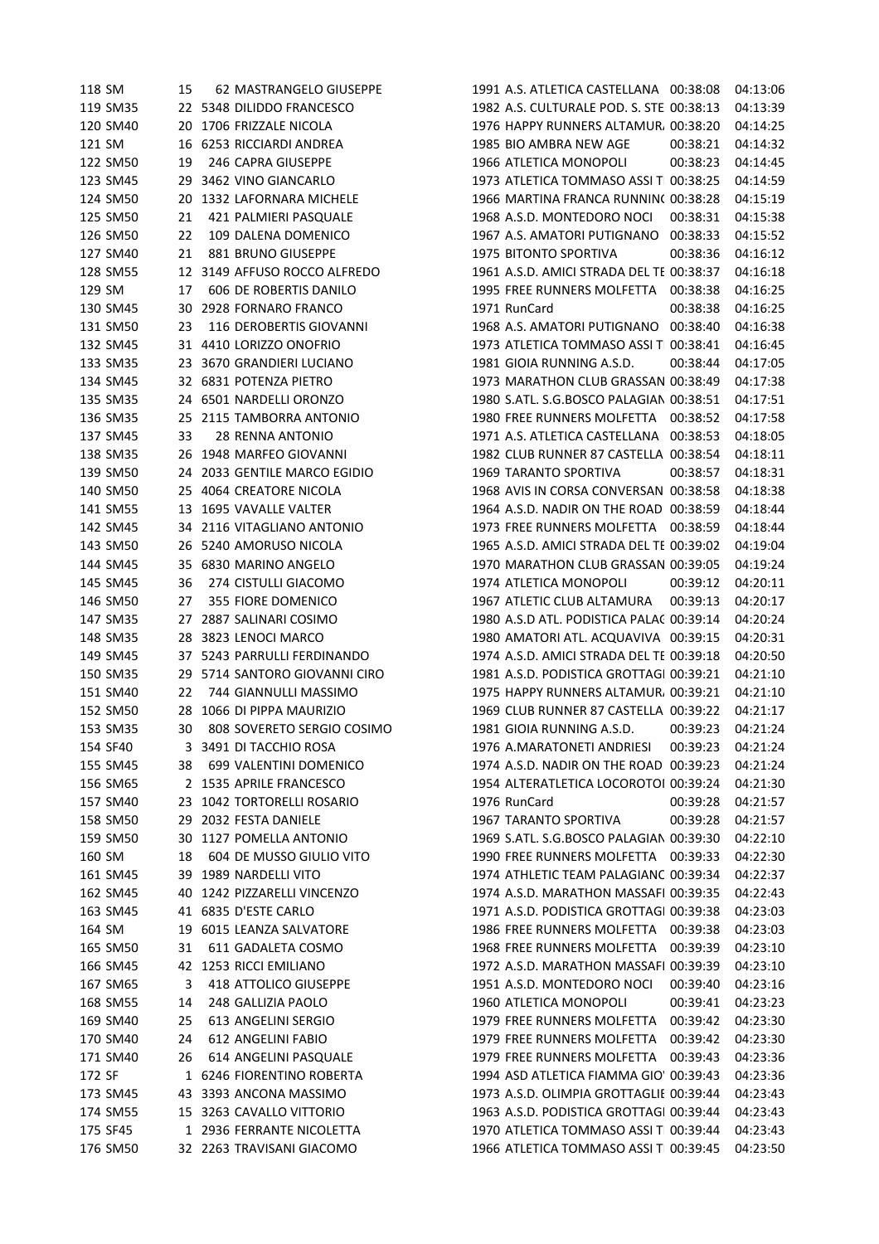| 118 SM   | 15 | 62 MASTRANGELO GIUSEPPE      | 1991 A.S. ATLETICA CASTELLANA 00:38:08         |          | 04:13:06 |
|----------|----|------------------------------|------------------------------------------------|----------|----------|
| 119 SM35 |    | 22 5348 DILIDDO FRANCESCO    | 1982 A.S. CULTURALE POD. S. STE 00:38:13       |          | 04:13:39 |
| 120 SM40 |    | 20 1706 FRIZZALE NICOLA      | 1976 HAPPY RUNNERS ALTAMUR, 00:38:20           |          | 04:14:25 |
| 121 SM   |    | 16 6253 RICCIARDI ANDREA     | 1985 BIO AMBRA NEW AGE                         | 00:38:21 | 04:14:32 |
| 122 SM50 | 19 | 246 CAPRA GIUSEPPE           | 1966 ATLETICA MONOPOLI                         | 00:38:23 | 04:14:45 |
| 123 SM45 | 29 | 3462 VINO GIANCARLO          | 1973 ATLETICA TOMMASO ASSI T 00:38:25          |          | 04:14:59 |
| 124 SM50 | 20 | 1332 LAFORNARA MICHELE       | 1966 MARTINA FRANCA RUNNIN( 00:38:28           |          | 04:15:19 |
| 125 SM50 | 21 | 421 PALMIERI PASQUALE        | 1968 A.S.D. MONTEDORO NOCI                     | 00:38:31 | 04:15:38 |
| 126 SM50 | 22 | 109 DALENA DOMENICO          | 1967 A.S. AMATORI PUTIGNANO                    | 00:38:33 | 04:15:52 |
| 127 SM40 | 21 | 881 BRUNO GIUSEPPE           | 1975 BITONTO SPORTIVA                          | 00:38:36 | 04:16:12 |
| 128 SM55 |    | 12 3149 AFFUSO ROCCO ALFREDO | 1961 A.S.D. AMICI STRADA DEL TE 00:38:37       |          | 04:16:18 |
| 129 SM   | 17 | 606 DE ROBERTIS DANILO       | 1995 FREE RUNNERS MOLFETTA                     | 00:38:38 | 04:16:25 |
| 130 SM45 |    | 30 2928 FORNARO FRANCO       | 1971 RunCard                                   | 00:38:38 | 04:16:25 |
|          |    |                              |                                                |          |          |
| 131 SM50 | 23 | 116 DEROBERTIS GIOVANNI      | 1968 A.S. AMATORI PUTIGNANO 00:38:40           |          | 04:16:38 |
| 132 SM45 |    | 31 4410 LORIZZO ONOFRIO      | 1973 ATLETICA TOMMASO ASSI T 00:38:41          |          | 04:16:45 |
| 133 SM35 |    | 23 3670 GRANDIERI LUCIANO    | 1981 GIOIA RUNNING A.S.D.                      | 00:38:44 | 04:17:05 |
| 134 SM45 |    | 32 6831 POTENZA PIETRO       | 1973 MARATHON CLUB GRASSAN 00:38:49            |          | 04:17:38 |
| 135 SM35 |    | 24 6501 NARDELLI ORONZO      | 1980 S.ATL. S.G.BOSCO PALAGIAN 00:38:51        |          | 04:17:51 |
| 136 SM35 |    | 25 2115 TAMBORRA ANTONIO     | 1980 FREE RUNNERS MOLFETTA 00:38:52            |          | 04:17:58 |
| 137 SM45 | 33 | 28 RENNA ANTONIO             | 1971 A.S. ATLETICA CASTELLANA 00:38:53         |          | 04:18:05 |
| 138 SM35 |    | 26 1948 MARFEO GIOVANNI      | 1982 CLUB RUNNER 87 CASTELLA 00:38:54          |          | 04:18:11 |
| 139 SM50 |    | 24 2033 GENTILE MARCO EGIDIO | <b>1969 TARANTO SPORTIVA</b>                   | 00:38:57 | 04:18:31 |
| 140 SM50 |    | 25 4064 CREATORE NICOLA      | 1968 AVIS IN CORSA CONVERSAN 00:38:58          |          | 04:18:38 |
| 141 SM55 |    | 13 1695 VAVALLE VALTER       | 1964 A.S.D. NADIR ON THE ROAD 00:38:59         |          | 04:18:44 |
| 142 SM45 |    | 34 2116 VITAGLIANO ANTONIO   | 1973 FREE RUNNERS MOLFETTA 00:38:59            |          | 04:18:44 |
| 143 SM50 |    | 26 5240 AMORUSO NICOLA       | 1965 A.S.D. AMICI STRADA DEL TE 00:39:02       |          | 04:19:04 |
| 144 SM45 |    | 35 6830 MARINO ANGELO        | 1970 MARATHON CLUB GRASSAN 00:39:05            |          | 04:19:24 |
| 145 SM45 | 36 | 274 CISTULLI GIACOMO         | 1974 ATLETICA MONOPOLI                         | 00:39:12 | 04:20:11 |
| 146 SM50 | 27 | 355 FIORE DOMENICO           | 1967 ATLETIC CLUB ALTAMURA                     | 00:39:13 | 04:20:17 |
| 147 SM35 | 27 | 2887 SALINARI COSIMO         | 1980 A.S.D ATL. PODISTICA PALA( 00:39:14       |          | 04:20:24 |
| 148 SM35 | 28 | 3823 LENOCI MARCO            | 1980 AMATORI ATL. ACQUAVIVA 00:39:15           |          | 04:20:31 |
| 149 SM45 | 37 | 5243 PARRULLI FERDINANDO     | 1974 A.S.D. AMICI STRADA DEL TE 00:39:18       |          | 04:20:50 |
| 150 SM35 | 29 | 5714 SANTORO GIOVANNI CIRO   | 1981 A.S.D. PODISTICA GROTTAGI 00:39:21        |          | 04:21:10 |
| 151 SM40 | 22 | 744 GIANNULLI MASSIMO        | 1975 HAPPY RUNNERS ALTAMUR. 00:39:21           |          | 04:21:10 |
| 152 SM50 |    | 28 1066 DI PIPPA MAURIZIO    | 1969 CLUB RUNNER 87 CASTELLA 00:39:22          |          | 04:21:17 |
|          |    |                              |                                                | 00:39:23 |          |
| 153 SM35 | 30 | 808 SOVERETO SERGIO COSIMO   | 1981 GIOIA RUNNING A.S.D.                      |          | 04:21:24 |
| 154 SF40 |    | 3 3491 DI TACCHIO ROSA       | 1976 A.MARATONETI ANDRIESI  00:39:23  04:21:24 |          |          |
| 155 SM45 | 38 | 699 VALENTINI DOMENICO       | 1974 A.S.D. NADIR ON THE ROAD 00:39:23         |          | 04:21:24 |
| 156 SM65 |    | 2 1535 APRILE FRANCESCO      | 1954 ALTERATLETICA LOCOROTOI 00:39:24          |          | 04:21:30 |
| 157 SM40 |    | 23 1042 TORTORELLI ROSARIO   | 1976 RunCard                                   | 00:39:28 | 04:21:57 |
| 158 SM50 | 29 | 2032 FESTA DANIELE           | 1967 TARANTO SPORTIVA                          | 00:39:28 | 04:21:57 |
| 159 SM50 | 30 | 1127 POMELLA ANTONIO         | 1969 S.ATL. S.G.BOSCO PALAGIAN 00:39:30        |          | 04:22:10 |
| 160 SM   | 18 | 604 DE MUSSO GIULIO VITO     | 1990 FREE RUNNERS MOLFETTA 00:39:33            |          | 04:22:30 |
| 161 SM45 | 39 | 1989 NARDELLI VITO           | 1974 ATHLETIC TEAM PALAGIANC 00:39:34          |          | 04:22:37 |
| 162 SM45 | 40 | 1242 PIZZARELLI VINCENZO     | 1974 A.S.D. MARATHON MASSAFI 00:39:35          |          | 04:22:43 |
| 163 SM45 |    | 41 6835 D'ESTE CARLO         | 1971 A.S.D. PODISTICA GROTTAGI 00:39:38        |          | 04:23:03 |
| 164 SM   | 19 | 6015 LEANZA SALVATORE        | 1986 FREE RUNNERS MOLFETTA 00:39:38            |          | 04:23:03 |
| 165 SM50 | 31 | 611 GADALETA COSMO           | 1968 FREE RUNNERS MOLFETTA                     | 00:39:39 | 04:23:10 |
| 166 SM45 | 42 | 1253 RICCI EMILIANO          | 1972 A.S.D. MARATHON MASSAFI 00:39:39          |          | 04:23:10 |
| 167 SM65 | 3  | 418 ATTOLICO GIUSEPPE        | 1951 A.S.D. MONTEDORO NOCI                     | 00:39:40 | 04:23:16 |
| 168 SM55 | 14 | 248 GALLIZIA PAOLO           | 1960 ATLETICA MONOPOLI                         | 00:39:41 | 04:23:23 |
| 169 SM40 | 25 | 613 ANGELINI SERGIO          | 1979 FREE RUNNERS MOLFETTA                     | 00:39:42 | 04:23:30 |
| 170 SM40 | 24 | 612 ANGELINI FABIO           | 1979 FREE RUNNERS MOLFETTA                     | 00:39:42 | 04:23:30 |
| 171 SM40 | 26 | 614 ANGELINI PASQUALE        | 1979 FREE RUNNERS MOLFETTA 00:39:43            |          | 04:23:36 |
| 172 SF   |    | 1 6246 FIORENTINO ROBERTA    | 1994 ASD ATLETICA FIAMMA GIO 00:39:43          |          | 04:23:36 |
| 173 SM45 |    | 43 3393 ANCONA MASSIMO       | 1973 A.S.D. OLIMPIA GROTTAGLIE 00:39:44        |          | 04:23:43 |
| 174 SM55 |    | 15 3263 CAVALLO VITTORIO     | 1963 A.S.D. PODISTICA GROTTAGI 00:39:44        |          | 04:23:43 |
|          |    |                              | 1970 ATLETICA TOMMASO ASSI T 00:39:44          |          |          |
| 175 SF45 |    | 1 2936 FERRANTE NICOLETTA    |                                                |          | 04:23:43 |
| 176 SM50 |    | 32 2263 TRAVISANI GIACOMO    | 1966 ATLETICA TOMMASO ASSI T 00:39:45          |          | 04:23:50 |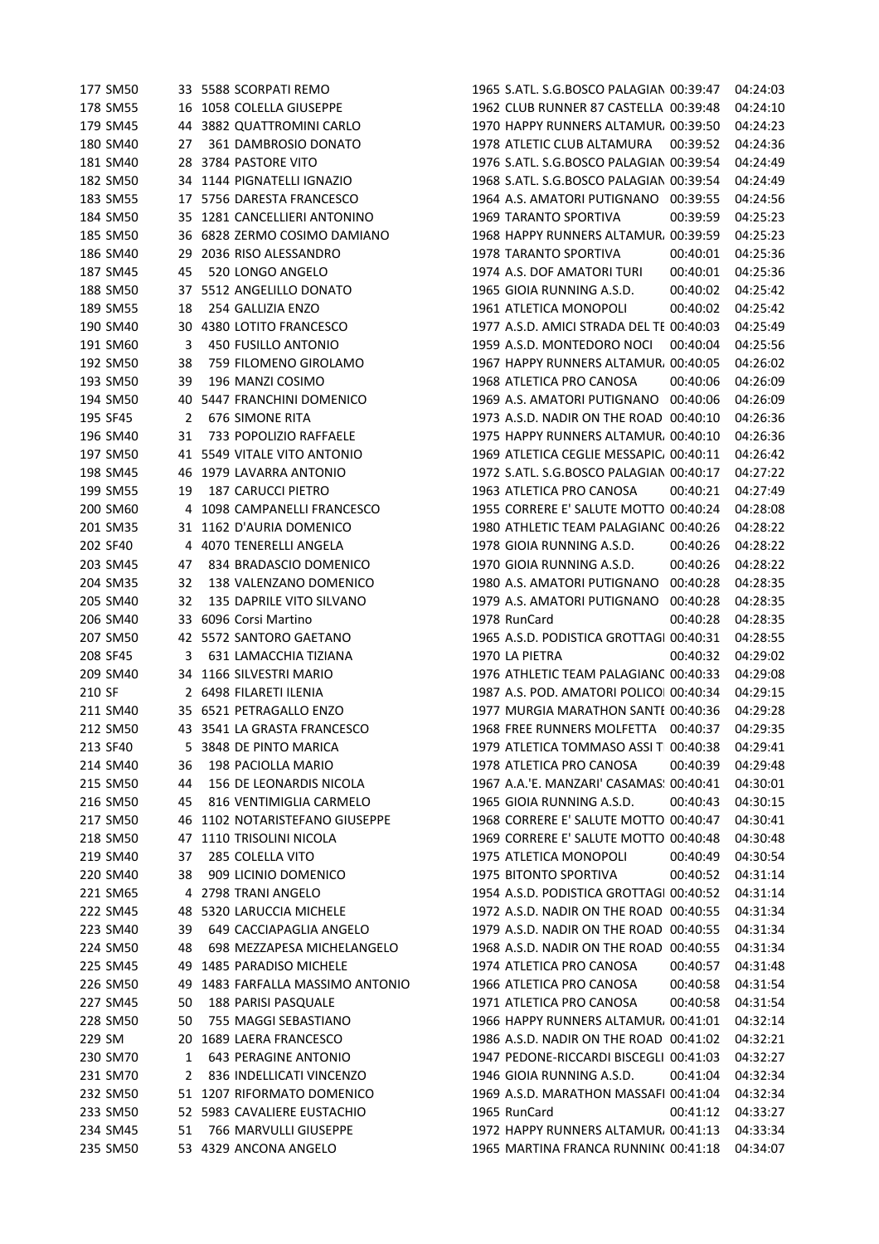| 177 SM50 |    | 33 5588 SCORPATI REMO          | 1965 S.ATL. S.G.BOSCO PALAGIAN 00:39:47        |          | 04:24:03 |
|----------|----|--------------------------------|------------------------------------------------|----------|----------|
| 178 SM55 |    | 16 1058 COLELLA GIUSEPPE       | 1962 CLUB RUNNER 87 CASTELLA 00:39:48          |          | 04:24:10 |
| 179 SM45 |    | 44 3882 QUATTROMINI CARLO      | 1970 HAPPY RUNNERS ALTAMUR, 00:39:50           |          | 04:24:23 |
| 180 SM40 | 27 | 361 DAMBROSIO DONATO           | 1978 ATLETIC CLUB ALTAMURA                     | 00:39:52 | 04:24:36 |
| 181 SM40 | 28 | 3784 PASTORE VITO              | 1976 S.ATL. S.G.BOSCO PALAGIAN 00:39:54        |          | 04:24:49 |
| 182 SM50 |    | 34 1144 PIGNATELLI IGNAZIO     | 1968 S.ATL. S.G.BOSCO PALAGIAN 00:39:54        |          | 04:24:49 |
| 183 SM55 |    | 17 5756 DARESTA FRANCESCO      | 1964 A.S. AMATORI PUTIGNANO 00:39:55           |          | 04:24:56 |
| 184 SM50 |    | 35 1281 CANCELLIERI ANTONINO   | <b>1969 TARANTO SPORTIVA</b>                   | 00:39:59 | 04:25:23 |
| 185 SM50 |    | 36 6828 ZERMO COSIMO DAMIANO   | 1968 HAPPY RUNNERS ALTAMUR, 00:39:59           |          | 04:25:23 |
| 186 SM40 | 29 | 2036 RISO ALESSANDRO           | 1978 TARANTO SPORTIVA                          | 00:40:01 | 04:25:36 |
| 187 SM45 | 45 | 520 LONGO ANGELO               | 1974 A.S. DOF AMATORI TURI                     | 00:40:01 | 04:25:36 |
| 188 SM50 |    | 37 5512 ANGELILLO DONATO       | 1965 GIOIA RUNNING A.S.D.                      | 00:40:02 | 04:25:42 |
| 189 SM55 | 18 | 254 GALLIZIA ENZO              | 1961 ATLETICA MONOPOLI                         | 00:40:02 | 04:25:42 |
| 190 SM40 |    | 30 4380 LOTITO FRANCESCO       | 1977 A.S.D. AMICI STRADA DEL TE 00:40:03       |          | 04:25:49 |
| 191 SM60 | 3  | 450 FUSILLO ANTONIO            | 1959 A.S.D. MONTEDORO NOCI                     | 00:40:04 | 04:25:56 |
| 192 SM50 | 38 | 759 FILOMENO GIROLAMO          | 1967 HAPPY RUNNERS ALTAMUR, 00:40:05           |          | 04:26:02 |
| 193 SM50 | 39 | 196 MANZI COSIMO               | 1968 ATLETICA PRO CANOSA                       | 00:40:06 | 04:26:09 |
|          |    |                                | 1969 A.S. AMATORI PUTIGNANO 00:40:06           |          |          |
| 194 SM50 | 40 | 5447 FRANCHINI DOMENICO        |                                                |          | 04:26:09 |
| 195 SF45 | 2  | <b>676 SIMONE RITA</b>         | 1973 A.S.D. NADIR ON THE ROAD 00:40:10         |          | 04:26:36 |
| 196 SM40 | 31 | 733 POPOLIZIO RAFFAELE         | 1975 HAPPY RUNNERS ALTAMUR, 00:40:10           |          | 04:26:36 |
| 197 SM50 |    | 41 5549 VITALE VITO ANTONIO    | 1969 ATLETICA CEGLIE MESSAPIC, 00:40:11        |          | 04:26:42 |
| 198 SM45 |    | 46 1979 LAVARRA ANTONIO        | 1972 S.ATL. S.G.BOSCO PALAGIAN 00:40:17        |          | 04:27:22 |
| 199 SM55 | 19 | <b>187 CARUCCI PIETRO</b>      | 1963 ATLETICA PRO CANOSA                       | 00:40:21 | 04:27:49 |
| 200 SM60 | 4  | 1098 CAMPANELLI FRANCESCO      | 1955 CORRERE E' SALUTE MOTTO 00:40:24          |          | 04:28:08 |
| 201 SM35 |    | 31 1162 D'AURIA DOMENICO       | 1980 ATHLETIC TEAM PALAGIANC 00:40:26          |          | 04:28:22 |
| 202 SF40 |    | 4 4070 TENERELLI ANGELA        | 1978 GIOIA RUNNING A.S.D.                      | 00:40:26 | 04:28:22 |
| 203 SM45 | 47 | 834 BRADASCIO DOMENICO         | 1970 GIOIA RUNNING A.S.D.                      | 00:40:26 | 04:28:22 |
| 204 SM35 | 32 | 138 VALENZANO DOMENICO         | 1980 A.S. AMATORI PUTIGNANO 00:40:28           |          | 04:28:35 |
| 205 SM40 | 32 | 135 DAPRILE VITO SILVANO       | 1979 A.S. AMATORI PUTIGNANO                    | 00:40:28 | 04:28:35 |
| 206 SM40 | 33 | 6096 Corsi Martino             | 1978 RunCard                                   | 00:40:28 | 04:28:35 |
| 207 SM50 |    | 42 5572 SANTORO GAETANO        | 1965 A.S.D. PODISTICA GROTTAGI 00:40:31        |          | 04:28:55 |
| 208 SF45 | 3  | 631 LAMACCHIA TIZIANA          | 1970 LA PIETRA                                 | 00:40:32 | 04:29:02 |
| 209 SM40 |    | 34 1166 SILVESTRI MARIO        | 1976 ATHLETIC TEAM PALAGIANC 00:40:33          |          | 04:29:08 |
| 210 SF   |    | 2 6498 FILARETI ILENIA         | 1987 A.S. POD. AMATORI POLICO 00:40:34         |          | 04:29:15 |
| 211 SM40 |    | 35 6521 PETRAGALLO ENZO        | 1977 MURGIA MARATHON SANTE 00:40:36            |          | 04:29:28 |
| 212 SM50 |    | 43 3541 LA GRASTA FRANCESCO    | 1968 FREE RUNNERS MOLFETTA 00:40:37            |          | 04:29:35 |
| 213 SF40 |    | 5 3848 DE PINTO MARICA         | 1979 ATLETICA TOMMASO ASSI T 00:40:38 04:29:41 |          |          |
| 214 SM40 | 36 | 198 PACIOLLA MARIO             | 1978 ATLETICA PRO CANOSA                       | 00:40:39 | 04:29:48 |
| 215 SM50 | 44 | 156 DE LEONARDIS NICOLA        | 1967 A.A.'E. MANZARI' CASAMAS: 00:40:41        |          | 04:30:01 |
| 216 SM50 | 45 | 816 VENTIMIGLIA CARMELO        | 1965 GIOIA RUNNING A.S.D.                      | 00:40:43 | 04:30:15 |
| 217 SM50 |    | 46 1102 NOTARISTEFANO GIUSEPPE | 1968 CORRERE E' SALUTE MOTTO 00:40:47          |          | 04:30:41 |
| 218 SM50 | 47 | 1110 TRISOLINI NICOLA          | 1969 CORRERE E' SALUTE MOTTO 00:40:48          |          | 04:30:48 |
| 219 SM40 | 37 | 285 COLELLA VITO               | 1975 ATLETICA MONOPOLI                         | 00:40:49 | 04:30:54 |
| 220 SM40 | 38 | 909 LICINIO DOMENICO           | 1975 BITONTO SPORTIVA                          | 00:40:52 | 04:31:14 |
| 221 SM65 | 4  | 2798 TRANI ANGELO              | 1954 A.S.D. PODISTICA GROTTAGI 00:40:52        |          | 04:31:14 |
| 222 SM45 | 48 | 5320 LARUCCIA MICHELE          | 1972 A.S.D. NADIR ON THE ROAD 00:40:55         |          | 04:31:34 |
| 223 SM40 | 39 | 649 CACCIAPAGLIA ANGELO        | 1979 A.S.D. NADIR ON THE ROAD 00:40:55         |          | 04:31:34 |
| 224 SM50 | 48 | 698 MEZZAPESA MICHELANGELO     | 1968 A.S.D. NADIR ON THE ROAD 00:40:55         |          | 04:31:34 |
| 225 SM45 | 49 | 1485 PARADISO MICHELE          | 1974 ATLETICA PRO CANOSA                       | 00:40:57 | 04:31:48 |
| 226 SM50 | 49 | 1483 FARFALLA MASSIMO ANTONIO  | 1966 ATLETICA PRO CANOSA                       | 00:40:58 | 04:31:54 |
| 227 SM45 | 50 | 188 PARISI PASQUALE            | 1971 ATLETICA PRO CANOSA                       | 00:40:58 | 04:31:54 |
| 228 SM50 | 50 | 755 MAGGI SEBASTIANO           | 1966 HAPPY RUNNERS ALTAMUR, 00:41:01           |          | 04:32:14 |
| 229 SM   | 20 | 1689 LAERA FRANCESCO           | 1986 A.S.D. NADIR ON THE ROAD 00:41:02         |          | 04:32:21 |
| 230 SM70 | 1  | <b>643 PERAGINE ANTONIO</b>    | 1947 PEDONE-RICCARDI BISCEGLI 00:41:03         |          | 04:32:27 |
| 231 SM70 | 2  | 836 INDELLICATI VINCENZO       | 1946 GIOIA RUNNING A.S.D.                      | 00:41:04 | 04:32:34 |
| 232 SM50 |    | 51 1207 RIFORMATO DOMENICO     | 1969 A.S.D. MARATHON MASSAFI 00:41:04          |          | 04:32:34 |
| 233 SM50 |    | 52 5983 CAVALIERE EUSTACHIO    | 1965 RunCard                                   | 00:41:12 | 04:33:27 |
| 234 SM45 | 51 | 766 MARVULLI GIUSEPPE          | 1972 HAPPY RUNNERS ALTAMUR. 00:41:13           |          | 04:33:34 |
| 235 SM50 |    | 53 4329 ANCONA ANGELO          | 1965 MARTINA FRANCA RUNNIN( 00:41:18           |          | 04:34:07 |
|          |    |                                |                                                |          |          |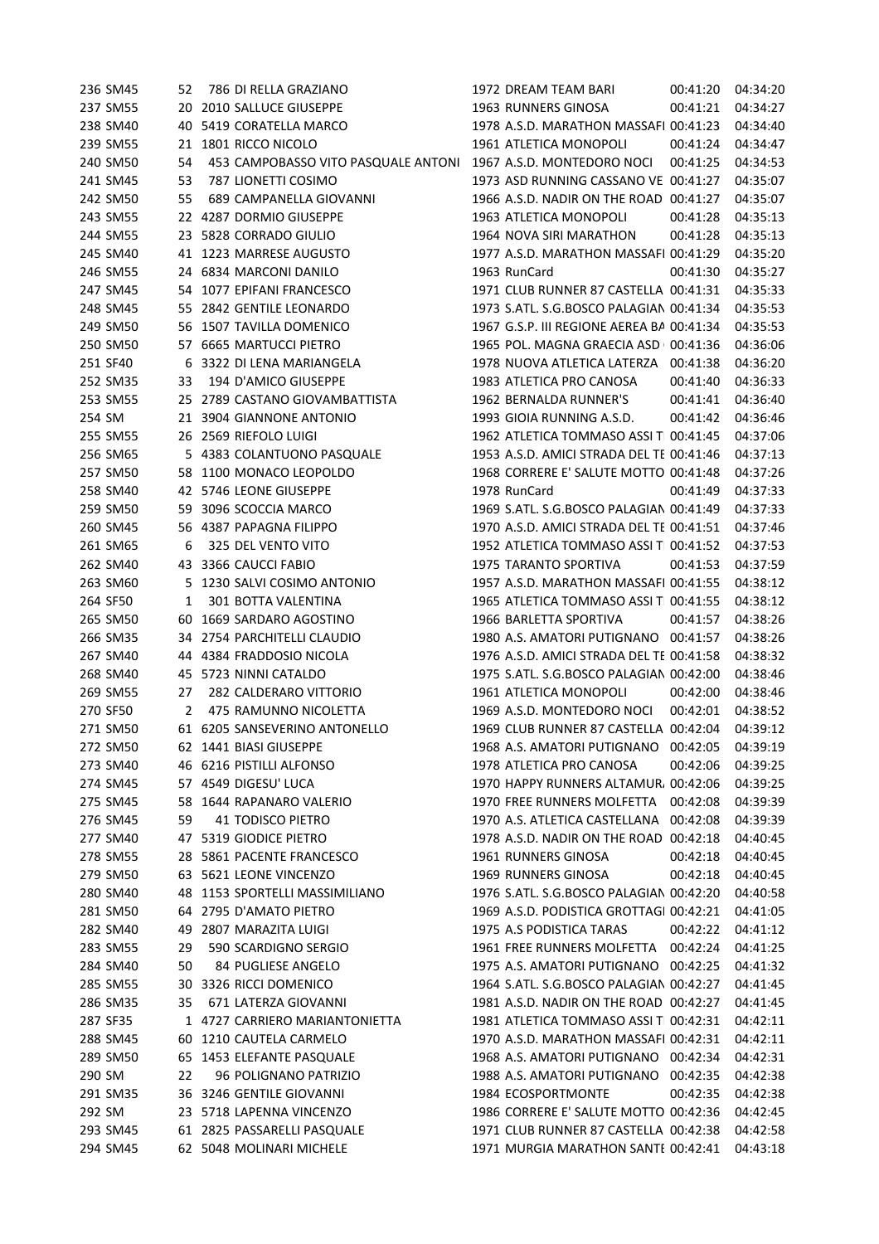|        | 236 SM45             | 52  | 786 DI RELLA GRAZIANO                           | 1972 DREAM TEAM BARI                          | 00:41:20 | 04:34:20 |
|--------|----------------------|-----|-------------------------------------------------|-----------------------------------------------|----------|----------|
|        | 237 SM55             | 20  | 2010 SALLUCE GIUSEPPE                           | 1963 RUNNERS GINOSA                           | 00:41:21 | 04:34:27 |
|        | 238 SM40             | 40  | 5419 CORATELLA MARCO                            | 1978 A.S.D. MARATHON MASSAFI 00:41:23         |          | 04:34:40 |
|        | 239 SM55             |     | 21 1801 RICCO NICOLO                            | 1961 ATLETICA MONOPOLI                        | 00:41:24 | 04:34:47 |
|        | 240 SM50             | 54  | 453 CAMPOBASSO VITO PASQUALE ANTONI             | 1967 A.S.D. MONTEDORO NOCI                    | 00:41:25 | 04:34:53 |
|        | 241 SM45             | 53  | 787 LIONETTI COSIMO                             | 1973 ASD RUNNING CASSANO VE 00:41:27          |          | 04:35:07 |
|        | 242 SM50             | 55  | 689 CAMPANELLA GIOVANNI                         | 1966 A.S.D. NADIR ON THE ROAD 00:41:27        |          | 04:35:07 |
|        | 243 SM55             |     | 22 4287 DORMIO GIUSEPPE                         | 1963 ATLETICA MONOPOLI                        | 00:41:28 | 04:35:13 |
|        | 244 SM55             |     | 23 5828 CORRADO GIULIO                          | 1964 NOVA SIRI MARATHON                       | 00:41:28 | 04:35:13 |
|        | 245 SM40             |     | 41 1223 MARRESE AUGUSTO                         | 1977 A.S.D. MARATHON MASSAFI 00:41:29         |          | 04:35:20 |
|        | 246 SM55             |     | 24 6834 MARCONI DANILO                          | 1963 RunCard                                  | 00:41:30 | 04:35:27 |
|        | 247 SM45             |     | 54 1077 EPIFANI FRANCESCO                       | 1971 CLUB RUNNER 87 CASTELLA 00:41:31         |          | 04:35:33 |
|        | 248 SM45             |     | 55 2842 GENTILE LEONARDO                        | 1973 S.ATL. S.G.BOSCO PALAGIAN 00:41:34       |          | 04:35:53 |
|        | 249 SM50             |     | 56 1507 TAVILLA DOMENICO                        | 1967 G.S.P. III REGIONE AEREA BA 00:41:34     |          | 04:35:53 |
|        | 250 SM50             |     | 57 6665 MARTUCCI PIETRO                         | 1965 POL. MAGNA GRAECIA ASD 00:41:36          |          | 04:36:06 |
|        | 251 SF40             | 6   | 3322 DI LENA MARIANGELA                         | 1978 NUOVA ATLETICA LATERZA 00:41:38          |          | 04:36:20 |
|        | 252 SM35             | 33  | 194 D'AMICO GIUSEPPE                            | 1983 ATLETICA PRO CANOSA                      | 00:41:40 | 04:36:33 |
|        | 253 SM55             |     | 25 2789 CASTANO GIOVAMBATTISTA                  | 1962 BERNALDA RUNNER'S                        | 00:41:41 | 04:36:40 |
| 254 SM |                      |     | 21 3904 GIANNONE ANTONIO                        | 1993 GIOIA RUNNING A.S.D.                     | 00:41:42 | 04:36:46 |
|        | 255 SM55             |     | 26 2569 RIEFOLO LUIGI                           | 1962 ATLETICA TOMMASO ASSI T 00:41:45         |          | 04:37:06 |
|        | 256 SM65             |     | 5 4383 COLANTUONO PASQUALE                      | 1953 A.S.D. AMICI STRADA DEL TE 00:41:46      |          | 04:37:13 |
|        | 257 SM50             |     | 58 1100 MONACO LEOPOLDO                         | 1968 CORRERE E' SALUTE MOTTO 00:41:48         |          | 04:37:26 |
|        | 258 SM40             |     | 42 5746 LEONE GIUSEPPE                          | 1978 RunCard                                  | 00:41:49 | 04:37:33 |
|        | 259 SM50             |     | 59 3096 SCOCCIA MARCO                           | 1969 S.ATL. S.G.BOSCO PALAGIAN 00:41:49       |          | 04:37:33 |
|        | 260 SM45             |     | 56 4387 PAPAGNA FILIPPO                         | 1970 A.S.D. AMICI STRADA DEL TE 00:41:51      |          | 04:37:46 |
|        | 261 SM65             | 6   | 325 DEL VENTO VITO                              | 1952 ATLETICA TOMMASO ASSI T 00:41:52         |          | 04:37:53 |
|        | 262 SM40             |     | 43 3366 CAUCCI FABIO                            | 1975 TARANTO SPORTIVA                         | 00:41:53 | 04:37:59 |
|        | 263 SM60             | 5.  | 1230 SALVI COSIMO ANTONIO                       | 1957 A.S.D. MARATHON MASSAFI 00:41:55         |          | 04:38:12 |
|        | 264 SF50             | 1   | 301 BOTTA VALENTINA                             | 1965 ATLETICA TOMMASO ASSI T 00:41:55         |          | 04:38:12 |
|        | 265 SM50             | 60  | 1669 SARDARO AGOSTINO                           | 1966 BARLETTA SPORTIVA                        | 00:41:57 | 04:38:26 |
|        | 266 SM35             |     | 34 2754 PARCHITELLI CLAUDIO                     | 1980 A.S. AMATORI PUTIGNANO 00:41:57          |          | 04:38:26 |
|        | 267 SM40             |     | 44 4384 FRADDOSIO NICOLA                        | 1976 A.S.D. AMICI STRADA DEL TE 00:41:58      |          | 04:38:32 |
|        | 268 SM40             | 45  | 5723 NINNI CATALDO                              | 1975 S.ATL. S.G.BOSCO PALAGIAN 00:42:00       |          | 04:38:46 |
|        |                      |     |                                                 |                                               | 00:42:00 |          |
|        | 269 SM55<br>270 SF50 | 27  | 282 CALDERARO VITTORIO<br>475 RAMUNNO NICOLETTA | 1961 ATLETICA MONOPOLI                        |          | 04:38:46 |
|        | 271 SM50             | 2   |                                                 | 1969 A.S.D. MONTEDORO NOCI                    | 00:42:01 | 04:38:52 |
|        |                      |     | 61 6205 SANSEVERINO ANTONELLO                   | 1969 CLUB RUNNER 87 CASTELLA 00:42:04         |          | 04:39:12 |
|        | 272 SM50             |     | 62 1441 BIASI GIUSEPPE                          | 1968 A.S. AMATORI PUTIGNANO 00:42:05 04:39:19 |          |          |
|        | 273 SM40             |     | 46 6216 PISTILLI ALFONSO                        | 1978 ATLETICA PRO CANOSA                      | 00:42:06 | 04:39:25 |
|        | 274 SM45             |     | 57 4549 DIGESU' LUCA                            | 1970 HAPPY RUNNERS ALTAMUR. 00:42:06          |          | 04:39:25 |
|        | 275 SM45             | 58  | 1644 RAPANARO VALERIO                           | 1970 FREE RUNNERS MOLFETTA 00:42:08           |          | 04:39:39 |
|        | 276 SM45             | 59  | 41 TODISCO PIETRO                               | 1970 A.S. ATLETICA CASTELLANA 00:42:08        |          | 04:39:39 |
|        | 277 SM40             | 47  | 5319 GIODICE PIETRO                             | 1978 A.S.D. NADIR ON THE ROAD 00:42:18        |          | 04:40:45 |
|        | 278 SM55             | 28. | 5861 PACENTE FRANCESCO                          | 1961 RUNNERS GINOSA                           | 00:42:18 | 04:40:45 |
|        | 279 SM50             | 63  | 5621 LEONE VINCENZO                             | 1969 RUNNERS GINOSA                           | 00:42:18 | 04:40:45 |
|        | 280 SM40             | 48  | 1153 SPORTELLI MASSIMILIANO                     | 1976 S.ATL. S.G.BOSCO PALAGIAN 00:42:20       |          | 04:40:58 |
|        | 281 SM50             |     | 64 2795 D'AMATO PIETRO                          | 1969 A.S.D. PODISTICA GROTTAGI 00:42:21       |          | 04:41:05 |
|        | 282 SM40             | 49  | 2807 MARAZITA LUIGI                             | 1975 A.S PODISTICA TARAS                      | 00:42:22 | 04:41:12 |
|        | 283 SM55             | 29  | 590 SCARDIGNO SERGIO                            | 1961 FREE RUNNERS MOLFETTA 00:42:24           |          | 04:41:25 |
|        | 284 SM40             | 50  | 84 PUGLIESE ANGELO                              | 1975 A.S. AMATORI PUTIGNANO 00:42:25          |          | 04:41:32 |
|        | 285 SM55             | 30  | 3326 RICCI DOMENICO                             | 1964 S.ATL. S.G.BOSCO PALAGIAN 00:42:27       |          | 04:41:45 |
|        | 286 SM35             | 35  | 671 LATERZA GIOVANNI                            | 1981 A.S.D. NADIR ON THE ROAD 00:42:27        |          | 04:41:45 |
|        | 287 SF35             |     | 1 4727 CARRIERO MARIANTONIETTA                  | 1981 ATLETICA TOMMASO ASSI T 00:42:31         |          | 04:42:11 |
|        | 288 SM45             | 60  | 1210 CAUTELA CARMELO                            | 1970 A.S.D. MARATHON MASSAFI 00:42:31         |          | 04:42:11 |
|        | 289 SM50             | 65  | 1453 ELEFANTE PASQUALE                          | 1968 A.S. AMATORI PUTIGNANO 00:42:34          |          | 04:42:31 |
| 290 SM |                      | 22  | 96 POLIGNANO PATRIZIO                           | 1988 A.S. AMATORI PUTIGNANO 00:42:35          |          | 04:42:38 |
|        | 291 SM35             |     | 36 3246 GENTILE GIOVANNI                        | 1984 ECOSPORTMONTE                            | 00:42:35 | 04:42:38 |
| 292 SM |                      |     | 23 5718 LAPENNA VINCENZO                        | 1986 CORRERE E' SALUTE MOTTO 00:42:36         |          | 04:42:45 |
|        | 293 SM45             |     | 61 2825 PASSARELLI PASQUALE                     | 1971 CLUB RUNNER 87 CASTELLA 00:42:38         |          | 04:42:58 |
|        | 294 SM45             |     | 62 5048 MOLINARI MICHELE                        | 1971 MURGIA MARATHON SANTE 00:42:41           |          | 04:43:18 |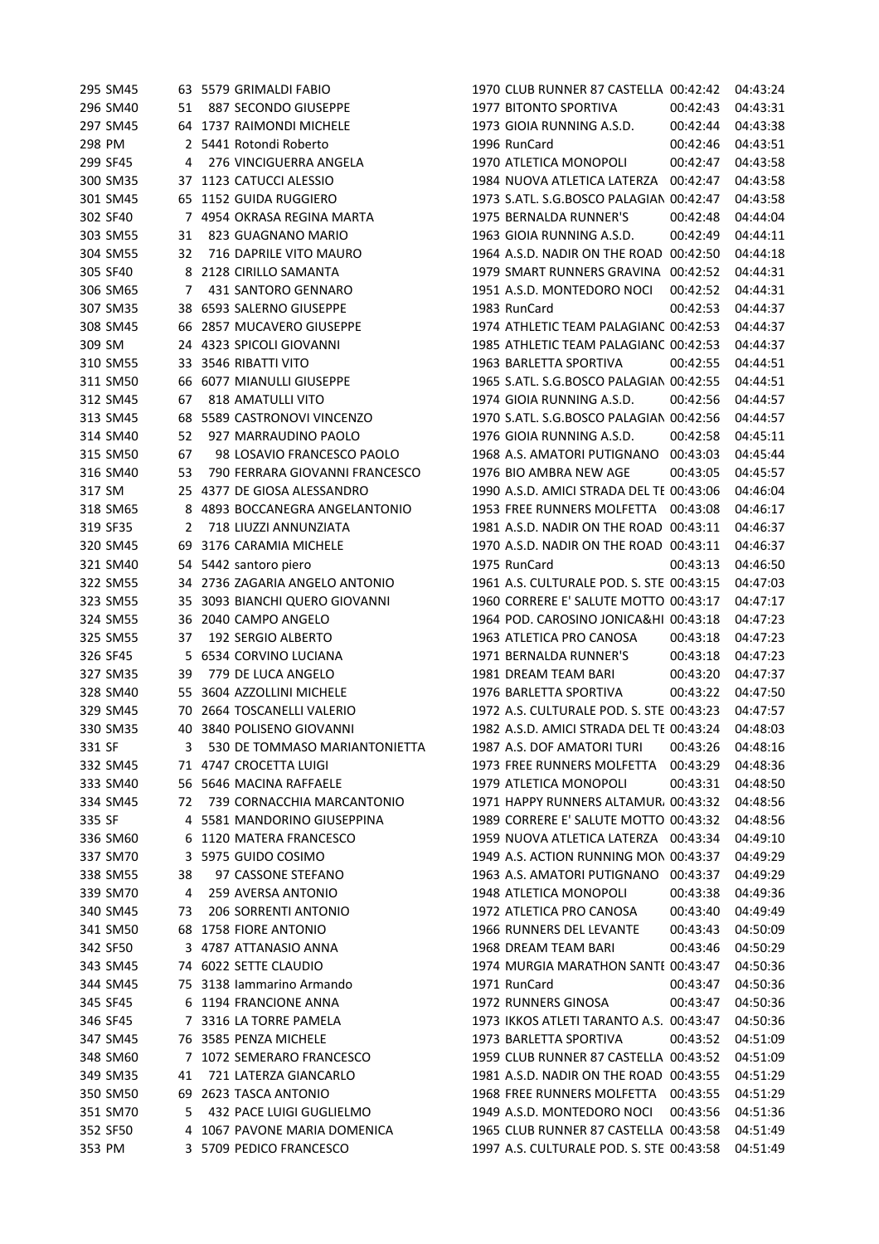| 295 SM45 |    | 63 5579 GRIMALDI FABIO                                   | 1970 CLUB RUNNER 87 CASTELLA 00:42:42                               |          | 04:43:24 |
|----------|----|----------------------------------------------------------|---------------------------------------------------------------------|----------|----------|
| 296 SM40 | 51 | 887 SECONDO GIUSEPPE                                     | 1977 BITONTO SPORTIVA                                               | 00:42:43 | 04:43:31 |
| 297 SM45 |    | 64 1737 RAIMONDI MICHELE                                 | 1973 GIOIA RUNNING A.S.D.                                           | 00:42:44 | 04:43:38 |
| 298 PM   |    | 2 5441 Rotondi Roberto                                   | 1996 RunCard                                                        | 00:42:46 | 04:43:51 |
| 299 SF45 | 4  | 276 VINCIGUERRA ANGELA                                   | 1970 ATLETICA MONOPOLI                                              | 00:42:47 | 04:43:58 |
| 300 SM35 | 37 | 1123 CATUCCI ALESSIO                                     | 1984 NUOVA ATLETICA LATERZA 00:42:47                                |          | 04:43:58 |
| 301 SM45 |    | 65 1152 GUIDA RUGGIERO                                   | 1973 S.ATL. S.G.BOSCO PALAGIAN 00:42:47                             |          | 04:43:58 |
| 302 SF40 |    | 7 4954 OKRASA REGINA MARTA                               | 1975 BERNALDA RUNNER'S                                              | 00:42:48 | 04:44:04 |
| 303 SM55 | 31 | 823 GUAGNANO MARIO                                       | 1963 GIOIA RUNNING A.S.D.                                           | 00:42:49 | 04:44:11 |
| 304 SM55 | 32 | 716 DAPRILE VITO MAURO                                   | 1964 A.S.D. NADIR ON THE ROAD 00:42:50                              |          | 04:44:18 |
| 305 SF40 |    | 8 2128 CIRILLO SAMANTA                                   | 1979 SMART RUNNERS GRAVINA 00:42:52                                 |          | 04:44:31 |
| 306 SM65 | 7  | 431 SANTORO GENNARO                                      | 1951 A.S.D. MONTEDORO NOCI                                          | 00:42:52 | 04:44:31 |
| 307 SM35 |    | 38 6593 SALERNO GIUSEPPE                                 | 1983 RunCard                                                        | 00:42:53 | 04:44:37 |
| 308 SM45 |    | 66 2857 MUCAVERO GIUSEPPE                                | 1974 ATHLETIC TEAM PALAGIANC 00:42:53                               |          | 04:44:37 |
| 309 SM   |    | 24 4323 SPICOLI GIOVANNI                                 | 1985 ATHLETIC TEAM PALAGIANC 00:42:53                               |          | 04:44:37 |
| 310 SM55 |    | 33 3546 RIBATTI VITO                                     | 1963 BARLETTA SPORTIVA                                              | 00:42:55 | 04:44:51 |
| 311 SM50 |    | 66 6077 MIANULLI GIUSEPPE                                | 1965 S.ATL. S.G.BOSCO PALAGIAN 00:42:55                             |          | 04:44:51 |
| 312 SM45 | 67 | 818 AMATULLI VITO                                        | 1974 GIOIA RUNNING A.S.D.                                           | 00:42:56 | 04:44:57 |
| 313 SM45 | 68 | 5589 CASTRONOVI VINCENZO                                 | 1970 S.ATL. S.G.BOSCO PALAGIAN 00:42:56                             |          | 04:44:57 |
| 314 SM40 | 52 | 927 MARRAUDINO PAOLO                                     | 1976 GIOIA RUNNING A.S.D.                                           | 00:42:58 | 04:45:11 |
| 315 SM50 | 67 | 98 LOSAVIO FRANCESCO PAOLO                               | 1968 A.S. AMATORI PUTIGNANO 00:43:03                                |          | 04:45:44 |
| 316 SM40 | 53 | 790 FERRARA GIOVANNI FRANCESCO                           | 1976 BIO AMBRA NEW AGE                                              | 00:43:05 | 04:45:57 |
| 317 SM   |    | 25 4377 DE GIOSA ALESSANDRO                              | 1990 A.S.D. AMICI STRADA DEL TE 00:43:06                            |          | 04:46:04 |
| 318 SM65 | 8  | 4893 BOCCANEGRA ANGELANTONIO                             | 1953 FREE RUNNERS MOLFETTA 00:43:08                                 |          | 04:46:17 |
| 319 SF35 | 2  | 718 LIUZZI ANNUNZIATA                                    | 1981 A.S.D. NADIR ON THE ROAD 00:43:11                              |          | 04:46:37 |
| 320 SM45 | 69 | 3176 CARAMIA MICHELE                                     | 1970 A.S.D. NADIR ON THE ROAD 00:43:11                              |          | 04:46:37 |
| 321 SM40 | 54 | 5442 santoro piero                                       | 1975 RunCard                                                        | 00:43:13 | 04:46:50 |
| 322 SM55 |    | 34 2736 ZAGARIA ANGELO ANTONIO                           | 1961 A.S. CULTURALE POD. S. STE 00:43:15                            |          | 04:47:03 |
| 323 SM55 | 35 | 3093 BIANCHI QUERO GIOVANNI                              | 1960 CORRERE E' SALUTE MOTTO 00:43:17                               |          | 04:47:17 |
| 324 SM55 |    | 36 2040 CAMPO ANGELO                                     | 1964 POD. CAROSINO JONICA&HI 00:43:18                               |          | 04:47:23 |
| 325 SM55 | 37 | 192 SERGIO ALBERTO                                       | 1963 ATLETICA PRO CANOSA                                            | 00:43:18 | 04:47:23 |
| 326 SF45 |    | 5 6534 CORVINO LUCIANA                                   | 1971 BERNALDA RUNNER'S                                              | 00:43:18 | 04:47:23 |
| 327 SM35 | 39 | 779 DE LUCA ANGELO                                       | 1981 DREAM TEAM BARI                                                | 00:43:20 | 04:47:37 |
| 328 SM40 | 55 | 3604 AZZOLLINI MICHELE                                   | 1976 BARLETTA SPORTIVA                                              | 00:43:22 | 04:47:50 |
| 329 SM45 | 70 | 2664 TOSCANELLI VALERIO                                  | 1972 A.S. CULTURALE POD. S. STE 00:43:23                            |          | 04:47:57 |
| 330 SM35 |    | 40 3840 POLISENO GIOVANNI                                | 1982 A.S.D. AMICI STRADA DEL TE 00:43:24                            |          | 04:48:03 |
| 331 SF   |    | 3 530 DE TOMMASO MARIANTONIETTA                          | 1987 A.S. DOF AMATORI TURI  00:43:26  04:48:16                      |          |          |
| 332 SM45 |    | 71 4747 CROCETTA LUIGI                                   | 1973 FREE RUNNERS MOLFETTA 00:43:29                                 |          | 04:48:36 |
| 333 SM40 |    | 56 5646 MACINA RAFFAELE                                  | 1979 ATLETICA MONOPOLI                                              | 00:43:31 | 04:48:50 |
| 334 SM45 | 72 | 739 CORNACCHIA MARCANTONIO                               | 1971 HAPPY RUNNERS ALTAMUR, 00:43:32                                |          | 04:48:56 |
| 335 SF   |    | 4 5581 MANDORINO GIUSEPPINA                              | 1989 CORRERE E' SALUTE MOTTO 00:43:32                               |          | 04:48:56 |
| 336 SM60 | 6  | 1120 MATERA FRANCESCO                                    | 1959 NUOVA ATLETICA LATERZA 00:43:34                                |          | 04:49:10 |
| 337 SM70 | 3  | 5975 GUIDO COSIMO                                        | 1949 A.S. ACTION RUNNING MON 00:43:37                               |          | 04:49:29 |
| 338 SM55 | 38 | 97 CASSONE STEFANO                                       | 1963 A.S. AMATORI PUTIGNANO 00:43:37                                |          | 04:49:29 |
| 339 SM70 | 4  | 259 AVERSA ANTONIO                                       | 1948 ATLETICA MONOPOLI                                              | 00:43:38 | 04:49:36 |
| 340 SM45 | 73 | 206 SORRENTI ANTONIO                                     | 1972 ATLETICA PRO CANOSA                                            | 00:43:40 | 04:49:49 |
| 341 SM50 | 68 | 1758 FIORE ANTONIO                                       | 1966 RUNNERS DEL LEVANTE                                            | 00:43:43 | 04:50:09 |
| 342 SF50 |    | 3 4787 ATTANASIO ANNA                                    | 1968 DREAM TEAM BARI                                                | 00:43:46 | 04:50:29 |
| 343 SM45 | 74 | 6022 SETTE CLAUDIO                                       | 1974 MURGIA MARATHON SANTE 00:43:47                                 |          | 04:50:36 |
| 344 SM45 |    | 75 3138 Iammarino Armando                                | 1971 RunCard                                                        | 00:43:47 | 04:50:36 |
| 345 SF45 | 6  | 1194 FRANCIONE ANNA                                      | 1972 RUNNERS GINOSA                                                 | 00:43:47 | 04:50:36 |
| 346 SF45 | 7  | 3316 LA TORRE PAMELA                                     | 1973 IKKOS ATLETI TARANTO A.S. 00:43:47                             |          | 04:50:36 |
| 347 SM45 |    | 76 3585 PENZA MICHELE                                    | 1973 BARLETTA SPORTIVA                                              | 00:43:52 | 04:51:09 |
| 348 SM60 |    | 7 1072 SEMERARO FRANCESCO                                | 1959 CLUB RUNNER 87 CASTELLA 00:43:52                               |          | 04:51:09 |
| 349 SM35 | 41 | 721 LATERZA GIANCARLO                                    | 1981 A.S.D. NADIR ON THE ROAD 00:43:55                              |          | 04:51:29 |
|          |    |                                                          | 1968 FREE RUNNERS MOLFETTA 00:43:55                                 |          |          |
| 350 SM50 |    | 69 2623 TASCA ANTONIO                                    |                                                                     |          | 04:51:29 |
| 351 SM70 | 5. | 432 PACE LUIGI GUGLIELMO<br>4 1067 PAVONE MARIA DOMENICA | 1949 A.S.D. MONTEDORO NOCI<br>1965 CLUB RUNNER 87 CASTELLA 00:43:58 | 00:43:56 | 04:51:36 |
| 352 SF50 |    |                                                          |                                                                     |          | 04:51:49 |
| 353 PM   |    | 3 5709 PEDICO FRANCESCO                                  | 1997 A.S. CULTURALE POD. S. STE 00:43:58                            |          | 04:51:49 |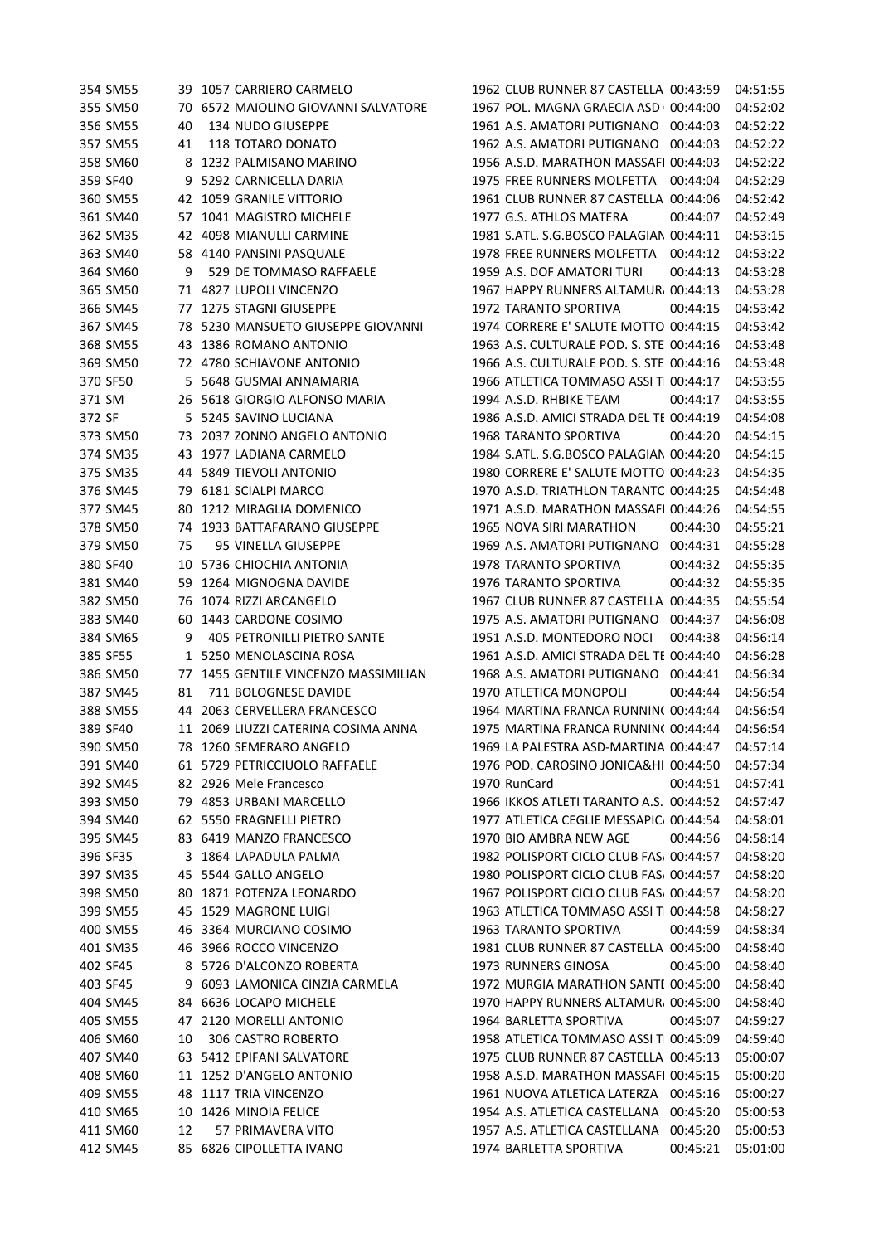| 354 SM55 |              | 39 1057 CARRIERO CARMELO            | 1962 CLUB RUNNER 87 CASTELLA 00:43:59          |          | 04:51:55 |
|----------|--------------|-------------------------------------|------------------------------------------------|----------|----------|
| 355 SM50 |              | 70 6572 MAIOLINO GIOVANNI SALVATORE | 1967 POL. MAGNA GRAECIA ASD 00:44:00           |          | 04:52:02 |
| 356 SM55 | 40           | 134 NUDO GIUSEPPE                   | 1961 A.S. AMATORI PUTIGNANO 00:44:03           |          | 04:52:22 |
| 357 SM55 | 41           | 118 TOTARO DONATO                   | 1962 A.S. AMATORI PUTIGNANO 00:44:03           |          | 04:52:22 |
| 358 SM60 | 8            | 1232 PALMISANO MARINO               | 1956 A.S.D. MARATHON MASSAFI 00:44:03          |          | 04:52:22 |
| 359 SF40 | 9            | 5292 CARNICELLA DARIA               | 1975 FREE RUNNERS MOLFETTA 00:44:04            |          | 04:52:29 |
| 360 SM55 |              | 42 1059 GRANILE VITTORIO            | 1961 CLUB RUNNER 87 CASTELLA 00:44:06          |          | 04:52:42 |
| 361 SM40 | 57           | 1041 MAGISTRO MICHELE               | 1977 G.S. ATHLOS MATERA                        | 00:44:07 | 04:52:49 |
| 362 SM35 |              | 42 4098 MIANULLI CARMINE            | 1981 S.ATL. S.G.BOSCO PALAGIAN 00:44:11        |          | 04:53:15 |
| 363 SM40 |              | 58 4140 PANSINI PASQUALE            | 1978 FREE RUNNERS MOLFETTA 00:44:12            |          | 04:53:22 |
| 364 SM60 | 9            | 529 DE TOMMASO RAFFAELE             | 1959 A.S. DOF AMATORI TURI                     | 00:44:13 | 04:53:28 |
| 365 SM50 |              | 71 4827 LUPOLI VINCENZO             | 1967 HAPPY RUNNERS ALTAMUR, 00:44:13           |          | 04:53:28 |
| 366 SM45 |              | 77 1275 STAGNI GIUSEPPE             | 1972 TARANTO SPORTIVA                          | 00:44:15 | 04:53:42 |
| 367 SM45 |              | 78 5230 MANSUETO GIUSEPPE GIOVANNI  | 1974 CORRERE E' SALUTE MOTTO 00:44:15          |          | 04:53:42 |
| 368 SM55 |              | 43 1386 ROMANO ANTONIO              | 1963 A.S. CULTURALE POD. S. STE 00:44:16       |          | 04:53:48 |
|          |              |                                     |                                                |          |          |
| 369 SM50 |              | 72 4780 SCHIAVONE ANTONIO           | 1966 A.S. CULTURALE POD. S. STE 00:44:16       |          | 04:53:48 |
| 370 SF50 |              | 5 5648 GUSMAI ANNAMARIA             | 1966 ATLETICA TOMMASO ASSI T 00:44:17          |          | 04:53:55 |
| 371 SM   |              | 26 5618 GIORGIO ALFONSO MARIA       | 1994 A.S.D. RHBIKE TEAM                        | 00:44:17 | 04:53:55 |
| 372 SF   |              | 5 5245 SAVINO LUCIANA               | 1986 A.S.D. AMICI STRADA DEL TE 00:44:19       |          | 04:54:08 |
| 373 SM50 |              | 73 2037 ZONNO ANGELO ANTONIO        | 1968 TARANTO SPORTIVA                          | 00:44:20 | 04:54:15 |
| 374 SM35 |              | 43 1977 LADIANA CARMELO             | 1984 S.ATL. S.G.BOSCO PALAGIAN 00:44:20        |          | 04:54:15 |
| 375 SM35 |              | 44 5849 TIEVOLI ANTONIO             | 1980 CORRERE E' SALUTE MOTTO 00:44:23          |          | 04:54:35 |
| 376 SM45 |              | 79 6181 SCIALPI MARCO               | 1970 A.S.D. TRIATHLON TARANTC 00:44:25         |          | 04:54:48 |
| 377 SM45 |              | 80 1212 MIRAGLIA DOMENICO           | 1971 A.S.D. MARATHON MASSAFI 00:44:26          |          | 04:54:55 |
| 378 SM50 | 74           | 1933 BATTAFARANO GIUSEPPE           | 1965 NOVA SIRI MARATHON                        | 00:44:30 | 04:55:21 |
| 379 SM50 | 75           | 95 VINELLA GIUSEPPE                 | 1969 A.S. AMATORI PUTIGNANO 00:44:31           |          | 04:55:28 |
| 380 SF40 | 10           | 5736 CHIOCHIA ANTONIA               | <b>1978 TARANTO SPORTIVA</b>                   | 00:44:32 | 04:55:35 |
| 381 SM40 | 59           | 1264 MIGNOGNA DAVIDE                | 1976 TARANTO SPORTIVA                          | 00:44:32 | 04:55:35 |
| 382 SM50 | 76           | 1074 RIZZI ARCANGELO                | 1967 CLUB RUNNER 87 CASTELLA 00:44:35          |          | 04:55:54 |
| 383 SM40 | 60           | 1443 CARDONE COSIMO                 | 1975 A.S. AMATORI PUTIGNANO 00:44:37           |          | 04:56:08 |
| 384 SM65 | 9            | <b>405 PETRONILLI PIETRO SANTE</b>  | 1951 A.S.D. MONTEDORO NOCI                     | 00:44:38 | 04:56:14 |
| 385 SF55 | $\mathbf{1}$ | 5250 MENOLASCINA ROSA               | 1961 A.S.D. AMICI STRADA DEL TE 00:44:40       |          | 04:56:28 |
| 386 SM50 | 77           | 1455 GENTILE VINCENZO MASSIMILIAN   | 1968 A.S. AMATORI PUTIGNANO 00:44:41           |          | 04:56:34 |
| 387 SM45 | 81           | 711 BOLOGNESE DAVIDE                | 1970 ATLETICA MONOPOLI                         | 00:44:44 | 04:56:54 |
| 388 SM55 | 44           | 2063 CERVELLERA FRANCESCO           | 1964 MARTINA FRANCA RUNNIN(00:44:44            |          | 04:56:54 |
| 389 SF40 |              | 11 2069 LIUZZI CATERINA COSIMA ANNA | 1975 MARTINA FRANCA RUNNIN( 00:44:44           |          | 04:56:54 |
| 390 SM50 |              | 78 1260 SEMERARO ANGELO             | 1969 LA PALESTRA ASD-MARTINA 00:44:47 04:57:14 |          |          |
| 391 SM40 |              | 61 5729 PETRICCIUOLO RAFFAELE       | 1976 POD. CAROSINO JONICA&HI 00:44:50          |          | 04:57:34 |
| 392 SM45 |              | 82 2926 Mele Francesco              | 1970 RunCard                                   | 00:44:51 | 04:57:41 |
| 393 SM50 |              | 79 4853 URBANI MARCELLO             | 1966 IKKOS ATLETI TARANTO A.S. 00:44:52        |          | 04:57:47 |
| 394 SM40 |              | 62 5550 FRAGNELLI PIETRO            | 1977 ATLETICA CEGLIE MESSAPIC, 00:44:54        |          | 04:58:01 |
| 395 SM45 |              | 83 6419 MANZO FRANCESCO             | 1970 BIO AMBRA NEW AGE                         | 00:44:56 | 04:58:14 |
| 396 SF35 |              | 1864 LAPADULA PALMA                 | 1982 POLISPORT CICLO CLUB FAS, 00:44:57        |          | 04:58:20 |
| 397 SM35 |              | 45 5544 GALLO ANGELO                | 1980 POLISPORT CICLO CLUB FAS, 00:44:57        |          | 04:58:20 |
| 398 SM50 | 80           | 1871 POTENZA LEONARDO               | 1967 POLISPORT CICLO CLUB FAS, 00:44:57        |          | 04:58:20 |
| 399 SM55 |              | 45 1529 MAGRONE LUIGI               | 1963 ATLETICA TOMMASO ASSI T 00:44:58          |          | 04:58:27 |
| 400 SM55 | 46           | 3364 MURCIANO COSIMO                | 1963 TARANTO SPORTIVA                          | 00:44:59 | 04:58:34 |
| 401 SM35 |              | 46 3966 ROCCO VINCENZO              | 1981 CLUB RUNNER 87 CASTELLA 00:45:00          |          | 04:58:40 |
| 402 SF45 | 8            | 5726 D'ALCONZO ROBERTA              | 1973 RUNNERS GINOSA                            | 00:45:00 | 04:58:40 |
|          | 9            | 6093 LAMONICA CINZIA CARMELA        | 1972 MURGIA MARATHON SANTE 00:45:00            |          | 04:58:40 |
| 403 SF45 |              |                                     |                                                |          |          |
| 404 SM45 | 84.          | 6636 LOCAPO MICHELE                 | 1970 HAPPY RUNNERS ALTAMUR, 00:45:00           |          | 04:58:40 |
| 405 SM55 | 47           | 2120 MORELLI ANTONIO                | 1964 BARLETTA SPORTIVA                         | 00:45:07 | 04:59:27 |
| 406 SM60 | 10           | 306 CASTRO ROBERTO                  | 1958 ATLETICA TOMMASO ASSI T 00:45:09          |          | 04:59:40 |
| 407 SM40 | 63           | 5412 EPIFANI SALVATORE              | 1975 CLUB RUNNER 87 CASTELLA 00:45:13          |          | 05:00:07 |
| 408 SM60 |              | 11 1252 D'ANGELO ANTONIO            | 1958 A.S.D. MARATHON MASSAFI 00:45:15          |          | 05:00:20 |
| 409 SM55 |              | 48 1117 TRIA VINCENZO               | 1961 NUOVA ATLETICA LATERZA  00:45:16          |          | 05:00:27 |
| 410 SM65 |              | 10 1426 MINOIA FELICE               | 1954 A.S. ATLETICA CASTELLANA 00:45:20         |          | 05:00:53 |
| 411 SM60 | 12           | 57 PRIMAVERA VITO                   | 1957 A.S. ATLETICA CASTELLANA 00:45:20         |          | 05:00:53 |
| 412 SM45 |              | 85 6826 CIPOLLETTA IVANO            | 1974 BARLETTA SPORTIVA                         | 00:45:21 | 05:01:00 |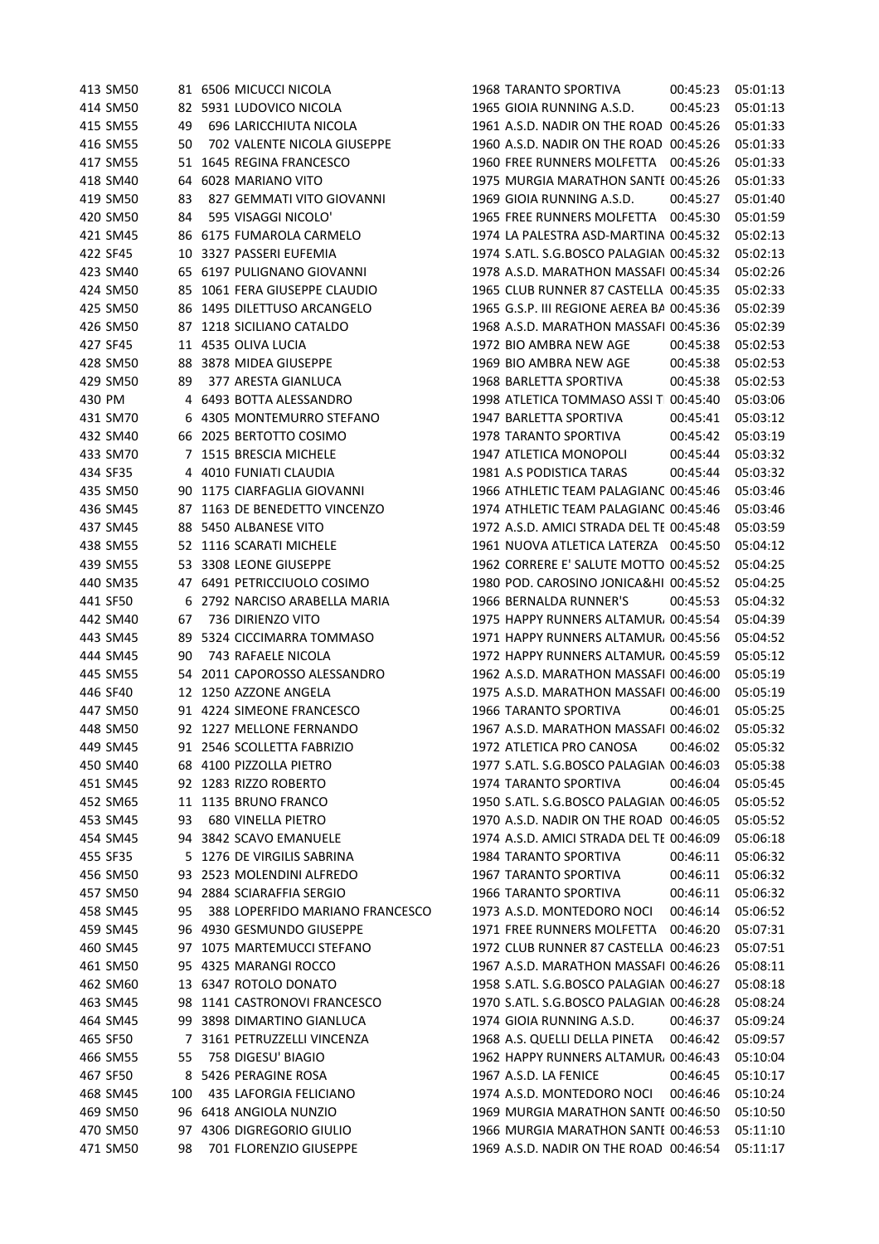| 413 SM50 |     | 81 6506 MICUCCI NICOLA          |  | <b>1968 TARANTO SPORTIVA</b>                  | 00:45:23 | 05:01:13 |
|----------|-----|---------------------------------|--|-----------------------------------------------|----------|----------|
| 414 SM50 |     | 82 5931 LUDOVICO NICOLA         |  | 1965 GIOIA RUNNING A.S.D.                     | 00:45:23 | 05:01:13 |
| 415 SM55 | 49  | 696 LARICCHIUTA NICOLA          |  | 1961 A.S.D. NADIR ON THE ROAD 00:45:26        |          | 05:01:33 |
| 416 SM55 | 50  | 702 VALENTE NICOLA GIUSEPPE     |  | 1960 A.S.D. NADIR ON THE ROAD 00:45:26        |          | 05:01:33 |
| 417 SM55 |     | 51 1645 REGINA FRANCESCO        |  | 1960 FREE RUNNERS MOLFETTA 00:45:26           |          | 05:01:33 |
| 418 SM40 |     | 64 6028 MARIANO VITO            |  | 1975 MURGIA MARATHON SANTE 00:45:26           |          | 05:01:33 |
| 419 SM50 | 83  | 827 GEMMATI VITO GIOVANNI       |  | 1969 GIOIA RUNNING A.S.D.                     | 00:45:27 | 05:01:40 |
| 420 SM50 | 84  | 595 VISAGGI NICOLO'             |  | 1965 FREE RUNNERS MOLFETTA                    | 00:45:30 | 05:01:59 |
| 421 SM45 |     | 86 6175 FUMAROLA CARMELO        |  | 1974 LA PALESTRA ASD-MARTINA 00:45:32         |          | 05:02:13 |
| 422 SF45 |     | 10 3327 PASSERI EUFEMIA         |  | 1974 S.ATL. S.G.BOSCO PALAGIAN 00:45:32       |          | 05:02:13 |
| 423 SM40 |     | 65 6197 PULIGNANO GIOVANNI      |  | 1978 A.S.D. MARATHON MASSAFI 00:45:34         |          | 05:02:26 |
| 424 SM50 |     | 85 1061 FERA GIUSEPPE CLAUDIO   |  | 1965 CLUB RUNNER 87 CASTELLA 00:45:35         |          | 05:02:33 |
| 425 SM50 |     | 86 1495 DILETTUSO ARCANGELO     |  | 1965 G.S.P. III REGIONE AEREA BA 00:45:36     |          | 05:02:39 |
| 426 SM50 |     | 87 1218 SICILIANO CATALDO       |  | 1968 A.S.D. MARATHON MASSAFI 00:45:36         |          | 05:02:39 |
|          |     |                                 |  | 1972 BIO AMBRA NEW AGE                        |          |          |
| 427 SF45 |     | 11 4535 OLIVA LUCIA             |  |                                               | 00:45:38 | 05:02:53 |
| 428 SM50 |     | 88 3878 MIDEA GIUSEPPE          |  | 1969 BIO AMBRA NEW AGE                        | 00:45:38 | 05:02:53 |
| 429 SM50 | 89  | 377 ARESTA GIANLUCA             |  | 1968 BARLETTA SPORTIVA                        | 00:45:38 | 05:02:53 |
| 430 PM   |     | 4 6493 BOTTA ALESSANDRO         |  | 1998 ATLETICA TOMMASO ASSI T 00:45:40         |          | 05:03:06 |
| 431 SM70 |     | 6 4305 MONTEMURRO STEFANO       |  | 1947 BARLETTA SPORTIVA                        | 00:45:41 | 05:03:12 |
| 432 SM40 |     | 66 2025 BERTOTTO COSIMO         |  | 1978 TARANTO SPORTIVA                         | 00:45:42 | 05:03:19 |
| 433 SM70 |     | 7 1515 BRESCIA MICHELE          |  | 1947 ATLETICA MONOPOLI                        | 00:45:44 | 05:03:32 |
| 434 SF35 |     | 4 4010 FUNIATI CLAUDIA          |  | 1981 A.S PODISTICA TARAS                      | 00:45:44 | 05:03:32 |
| 435 SM50 |     | 90 1175 CIARFAGLIA GIOVANNI     |  | 1966 ATHLETIC TEAM PALAGIANC 00:45:46         |          | 05:03:46 |
| 436 SM45 | 87  | 1163 DE BENEDETTO VINCENZO      |  | 1974 ATHLETIC TEAM PALAGIANC 00:45:46         |          | 05:03:46 |
| 437 SM45 |     | 88 5450 ALBANESE VITO           |  | 1972 A.S.D. AMICI STRADA DEL TE 00:45:48      |          | 05:03:59 |
| 438 SM55 |     | 52 1116 SCARATI MICHELE         |  | 1961 NUOVA ATLETICA LATERZA 00:45:50          |          | 05:04:12 |
| 439 SM55 |     | 53 3308 LEONE GIUSEPPE          |  | 1962 CORRERE E' SALUTE MOTTO 00:45:52         |          | 05:04:25 |
| 440 SM35 |     | 47 6491 PETRICCIUOLO COSIMO     |  | 1980 POD. CAROSINO JONICA&HI 00:45:52         |          | 05:04:25 |
| 441 SF50 |     | 6 2792 NARCISO ARABELLA MARIA   |  | 1966 BERNALDA RUNNER'S                        | 00:45:53 | 05:04:32 |
| 442 SM40 | 67  | 736 DIRIENZO VITO               |  | 1975 HAPPY RUNNERS ALTAMUR, 00:45:54          |          | 05:04:39 |
| 443 SM45 | 89  | 5324 CICCIMARRA TOMMASO         |  | 1971 HAPPY RUNNERS ALTAMUR, 00:45:56          |          | 05:04:52 |
| 444 SM45 | 90  | 743 RAFAELE NICOLA              |  | 1972 HAPPY RUNNERS ALTAMUR. 00:45:59          |          | 05:05:12 |
| 445 SM55 | 54  | 2011 CAPOROSSO ALESSANDRO       |  | 1962 A.S.D. MARATHON MASSAFI 00:46:00         |          | 05:05:19 |
| 446 SF40 |     | 12 1250 AZZONE ANGELA           |  | 1975 A.S.D. MARATHON MASSAFI 00:46:00         |          | 05:05:19 |
| 447 SM50 |     | 91 4224 SIMEONE FRANCESCO       |  | <b>1966 TARANTO SPORTIVA</b>                  | 00:46:01 | 05:05:25 |
| 448 SM50 |     | 92 1227 MELLONE FERNANDO        |  | 1967 A.S.D. MARATHON MASSAFI 00:46:02         |          | 05:05:32 |
| 449 SM45 |     | 91 2546 SCOLLETTA FABRIZIO      |  | 1972 ATLETICA PRO CANOSA   00:46:02  05:05:32 |          |          |
| 450 SM40 |     | 68 4100 PIZZOLLA PIETRO         |  | 1977 S.ATL. S.G.BOSCO PALAGIAN 00:46:03       |          | 05:05:38 |
| 451 SM45 |     | 92 1283 RIZZO ROBERTO           |  | 1974 TARANTO SPORTIVA                         | 00:46:04 | 05:05:45 |
| 452 SM65 |     | 11 1135 BRUNO FRANCO            |  | 1950 S.ATL. S.G.BOSCO PALAGIAN 00:46:05       |          | 05:05:52 |
| 453 SM45 | 93  | 680 VINELLA PIETRO              |  | 1970 A.S.D. NADIR ON THE ROAD 00:46:05        |          | 05:05:52 |
| 454 SM45 | 94  | 3842 SCAVO EMANUELE             |  | 1974 A.S.D. AMICI STRADA DEL TE 00:46:09      |          | 05:06:18 |
| 455 SF35 |     | 5 1276 DE VIRGILIS SABRINA      |  | <b>1984 TARANTO SPORTIVA</b>                  | 00:46:11 | 05:06:32 |
| 456 SM50 |     | 93 2523 MOLENDINI ALFREDO       |  | 1967 TARANTO SPORTIVA                         | 00:46:11 | 05:06:32 |
| 457 SM50 |     | 94 2884 SCIARAFFIA SERGIO       |  | 1966 TARANTO SPORTIVA                         | 00:46:11 | 05:06:32 |
| 458 SM45 | 95  | 388 LOPERFIDO MARIANO FRANCESCO |  | 1973 A.S.D. MONTEDORO NOCI                    | 00:46:14 | 05:06:52 |
| 459 SM45 |     | 96 4930 GESMUNDO GIUSEPPE       |  | 1971 FREE RUNNERS MOLFETTA                    | 00:46:20 | 05:07:31 |
| 460 SM45 | 97  | 1075 MARTEMUCCI STEFANO         |  | 1972 CLUB RUNNER 87 CASTELLA 00:46:23         |          | 05:07:51 |
| 461 SM50 |     | 95 4325 MARANGI ROCCO           |  | 1967 A.S.D. MARATHON MASSAFI 00:46:26         |          | 05:08:11 |
| 462 SM60 |     | 13 6347 ROTOLO DONATO           |  | 1958 S.ATL. S.G.BOSCO PALAGIAN 00:46:27       |          | 05:08:18 |
| 463 SM45 |     | 98 1141 CASTRONOVI FRANCESCO    |  | 1970 S.ATL. S.G.BOSCO PALAGIAN 00:46:28       |          | 05:08:24 |
|          |     |                                 |  |                                               |          |          |
| 464 SM45 |     | 99 3898 DIMARTINO GIANLUCA      |  | 1974 GIOIA RUNNING A.S.D.                     | 00:46:37 | 05:09:24 |
| 465 SF50 |     | 7 3161 PETRUZZELLI VINCENZA     |  | 1968 A.S. QUELLI DELLA PINETA                 | 00:46:42 | 05:09:57 |
| 466 SM55 | 55  | 758 DIGESU' BIAGIO              |  | 1962 HAPPY RUNNERS ALTAMUR, 00:46:43          |          | 05:10:04 |
| 467 SF50 |     | 8 5426 PERAGINE ROSA            |  | 1967 A.S.D. LA FENICE                         | 00:46:45 | 05:10:17 |
| 468 SM45 | 100 | 435 LAFORGIA FELICIANO          |  | 1974 A.S.D. MONTEDORO NOCI                    | 00:46:46 | 05:10:24 |
| 469 SM50 |     | 96 6418 ANGIOLA NUNZIO          |  | 1969 MURGIA MARATHON SANTE 00:46:50           |          | 05:10:50 |
| 470 SM50 |     | 97 4306 DIGREGORIO GIULIO       |  | 1966 MURGIA MARATHON SANTE 00:46:53           |          | 05:11:10 |
| 471 SM50 | 98  | 701 FLORENZIO GIUSEPPE          |  | 1969 A.S.D. NADIR ON THE ROAD 00:46:54        |          | 05:11:17 |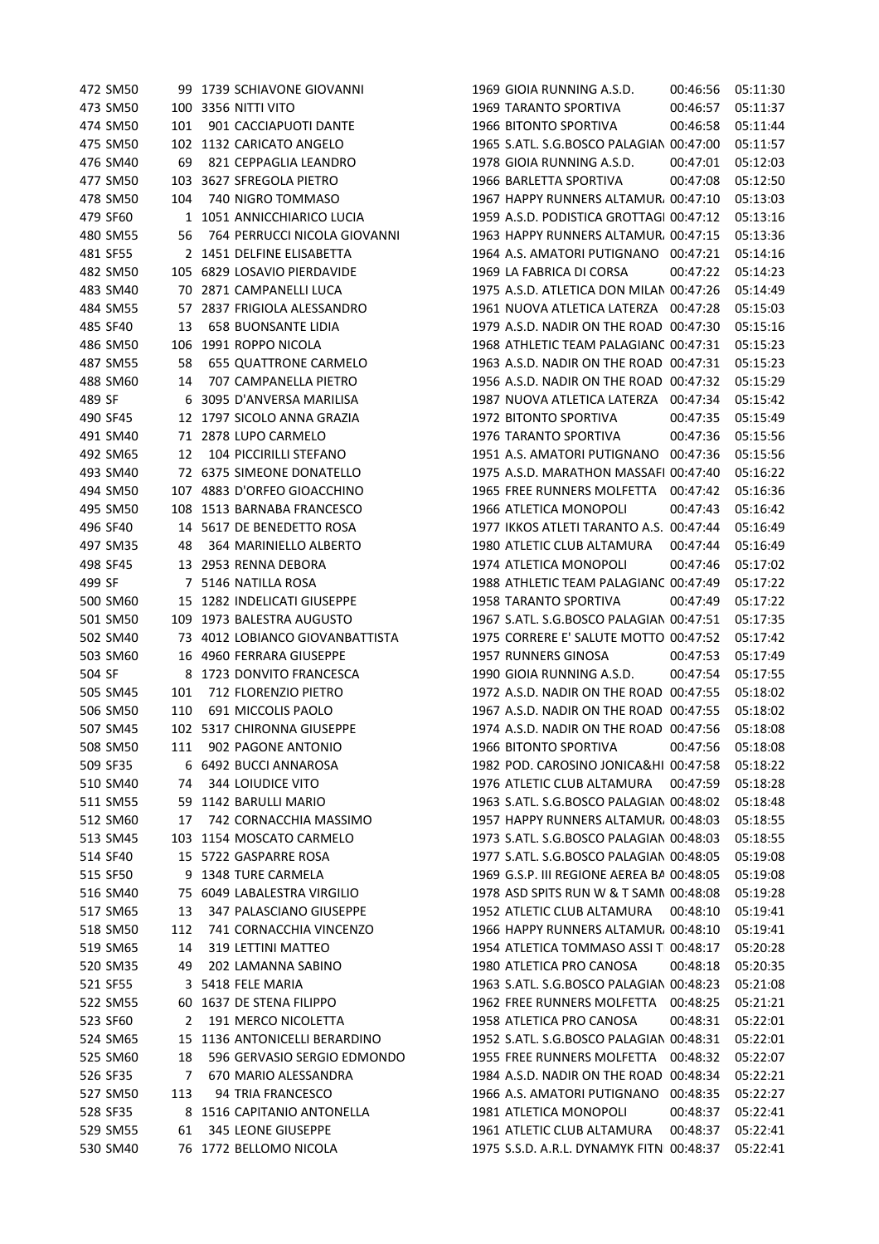|        | 472 SM50 |     | 99 1739 SCHIAVONE GIOVANNI      | 1969 GIOIA RUNNING A.S.D.                                                       | 00:46:56 | 05:11:30 |
|--------|----------|-----|---------------------------------|---------------------------------------------------------------------------------|----------|----------|
|        | 473 SM50 |     | 100 3356 NITTI VITO             | <b>1969 TARANTO SPORTIVA</b>                                                    | 00:46:57 | 05:11:37 |
|        | 474 SM50 | 101 | 901 CACCIAPUOTI DANTE           | 1966 BITONTO SPORTIVA                                                           | 00:46:58 | 05:11:44 |
|        | 475 SM50 |     | 102 1132 CARICATO ANGELO        | 1965 S.ATL. S.G.BOSCO PALAGIAN 00:47:00                                         |          | 05:11:57 |
|        | 476 SM40 | 69  | 821 CEPPAGLIA LEANDRO           | 1978 GIOIA RUNNING A.S.D.                                                       | 00:47:01 | 05:12:03 |
|        | 477 SM50 |     | 103 3627 SFREGOLA PIETRO        | 1966 BARLETTA SPORTIVA                                                          | 00:47:08 | 05:12:50 |
|        | 478 SM50 | 104 | 740 NIGRO TOMMASO               | 1967 HAPPY RUNNERS ALTAMUR, 00:47:10                                            |          | 05:13:03 |
|        | 479 SF60 |     | 1 1051 ANNICCHIARICO LUCIA      | 1959 A.S.D. PODISTICA GROTTAGI 00:47:12                                         |          | 05:13:16 |
|        | 480 SM55 | 56  | 764 PERRUCCI NICOLA GIOVANNI    | 1963 HAPPY RUNNERS ALTAMUR. 00:47:15                                            |          | 05:13:36 |
|        | 481 SF55 |     | 2 1451 DELFINE ELISABETTA       | 1964 A.S. AMATORI PUTIGNANO 00:47:21                                            |          | 05:14:16 |
|        | 482 SM50 |     | 105 6829 LOSAVIO PIERDAVIDE     | 1969 LA FABRICA DI CORSA                                                        | 00:47:22 | 05:14:23 |
|        | 483 SM40 |     | 70 2871 CAMPANELLI LUCA         | 1975 A.S.D. ATLETICA DON MILAN 00:47:26                                         |          | 05:14:49 |
|        | 484 SM55 |     | 57 2837 FRIGIOLA ALESSANDRO     | 1961 NUOVA ATLETICA LATERZA 00:47:28                                            |          | 05:15:03 |
|        | 485 SF40 | 13  | <b>658 BUONSANTE LIDIA</b>      | 1979 A.S.D. NADIR ON THE ROAD 00:47:30                                          |          | 05:15:16 |
|        | 486 SM50 |     | 106 1991 ROPPO NICOLA           | 1968 ATHLETIC TEAM PALAGIANC 00:47:31                                           |          | 05:15:23 |
|        | 487 SM55 | 58  | 655 QUATTRONE CARMELO           | 1963 A.S.D. NADIR ON THE ROAD 00:47:31                                          |          | 05:15:23 |
|        | 488 SM60 | 14  | 707 CAMPANELLA PIETRO           | 1956 A.S.D. NADIR ON THE ROAD 00:47:32                                          |          | 05:15:29 |
| 489 SF |          | 6   | 3095 D'ANVERSA MARILISA         | 1987 NUOVA ATLETICA LATERZA 00:47:34                                            |          | 05:15:42 |
|        | 490 SF45 |     | 12 1797 SICOLO ANNA GRAZIA      | 1972 BITONTO SPORTIVA                                                           | 00:47:35 | 05:15:49 |
|        | 491 SM40 |     | 71 2878 LUPO CARMELO            | 1976 TARANTO SPORTIVA                                                           | 00:47:36 | 05:15:56 |
|        | 492 SM65 | 12  | 104 PICCIRILLI STEFANO          | 1951 A.S. AMATORI PUTIGNANO 00:47:36                                            |          | 05:15:56 |
|        | 493 SM40 |     | 72 6375 SIMEONE DONATELLO       | 1975 A.S.D. MARATHON MASSAFI 00:47:40                                           |          | 05:16:22 |
|        | 494 SM50 |     | 107 4883 D'ORFEO GIOACCHINO     | 1965 FREE RUNNERS MOLFETTA 00:47:42                                             |          | 05:16:36 |
|        | 495 SM50 |     | 108 1513 BARNABA FRANCESCO      | 1966 ATLETICA MONOPOLI                                                          | 00:47:43 | 05:16:42 |
|        | 496 SF40 |     | 14 5617 DE BENEDETTO ROSA       | 1977 IKKOS ATLETI TARANTO A.S. 00:47:44                                         |          | 05:16:49 |
|        | 497 SM35 | 48  | 364 MARINIELLO ALBERTO          | 1980 ATLETIC CLUB ALTAMURA                                                      | 00:47:44 | 05:16:49 |
|        | 498 SF45 |     | 13 2953 RENNA DEBORA            | 1974 ATLETICA MONOPOLI                                                          | 00:47:46 | 05:17:02 |
| 499 SF |          |     | 7 5146 NATILLA ROSA             | 1988 ATHLETIC TEAM PALAGIANC 00:47:49                                           |          | 05:17:22 |
|        | 500 SM60 |     | 15 1282 INDELICATI GIUSEPPE     | 1958 TARANTO SPORTIVA                                                           | 00:47:49 | 05:17:22 |
|        | 501 SM50 |     | 109 1973 BALESTRA AUGUSTO       | 1967 S.ATL. S.G.BOSCO PALAGIAN 00:47:51                                         |          | 05:17:35 |
|        | 502 SM40 |     | 73 4012 LOBIANCO GIOVANBATTISTA | 1975 CORRERE E' SALUTE MOTTO 00:47:52                                           |          | 05:17:42 |
|        | 503 SM60 |     | 16 4960 FERRARA GIUSEPPE        | 1957 RUNNERS GINOSA                                                             | 00:47:53 | 05:17:49 |
| 504 SF |          |     | 8 1723 DONVITO FRANCESCA        | 1990 GIOIA RUNNING A.S.D.                                                       | 00:47:54 | 05:17:55 |
|        | 505 SM45 | 101 | 712 FLORENZIO PIETRO            | 1972 A.S.D. NADIR ON THE ROAD 00:47:55                                          |          | 05:18:02 |
|        | 506 SM50 | 110 | 691 MICCOLIS PAOLO              | 1967 A.S.D. NADIR ON THE ROAD 00:47:55                                          |          | 05:18:02 |
|        | 507 SM45 |     | 102 5317 CHIRONNA GIUSEPPE      | 1974 A.S.D. NADIR ON THE ROAD 00:47:56                                          |          | 05:18:08 |
|        | 508 SM50 |     | 111 902 PAGONE ANTONIO          | 1966 BITONTO SPORTIVA 00:47:56 05:18:08                                         |          |          |
|        | 509 SF35 |     | 6 6492 BUCCI ANNAROSA           | 1982 POD. CAROSINO JONICA&HI 00:47:58                                           |          | 05:18:22 |
|        |          |     |                                 |                                                                                 |          | 05:18:28 |
|        | 510 SM40 | 74  | <b>344 LOIUDICE VITO</b>        | 1976 ATLETIC CLUB ALTAMURA 00:47:59                                             |          |          |
|        | 511 SM55 |     | 59 1142 BARULLI MARIO           | 1963 S.ATL. S.G.BOSCO PALAGIAN 00:48:02<br>1957 HAPPY RUNNERS ALTAMUR, 00:48:03 |          | 05:18:48 |
|        | 512 SM60 | 17  | 742 CORNACCHIA MASSIMO          |                                                                                 |          | 05:18:55 |
|        | 513 SM45 |     | 103 1154 MOSCATO CARMELO        | 1973 S.ATL. S.G.BOSCO PALAGIAN 00:48:03                                         |          | 05:18:55 |
|        | 514 SF40 |     | 15 5722 GASPARRE ROSA           | 1977 S.ATL. S.G.BOSCO PALAGIAN 00:48:05                                         |          | 05:19:08 |
|        | 515 SF50 | 9   | 1348 TURE CARMELA               | 1969 G.S.P. III REGIONE AEREA BA 00:48:05                                       |          | 05:19:08 |
|        | 516 SM40 | 75  | 6049 LABALESTRA VIRGILIO        | 1978 ASD SPITS RUN W & T SAMN 00:48:08                                          |          | 05:19:28 |
|        | 517 SM65 | 13  | 347 PALASCIANO GIUSEPPE         | 1952 ATLETIC CLUB ALTAMURA                                                      | 00:48:10 | 05:19:41 |
|        | 518 SM50 | 112 | 741 CORNACCHIA VINCENZO         | 1966 HAPPY RUNNERS ALTAMUR, 00:48:10                                            |          | 05:19:41 |
|        | 519 SM65 | 14  | 319 LETTINI MATTEO              | 1954 ATLETICA TOMMASO ASSI T 00:48:17                                           |          | 05:20:28 |
|        | 520 SM35 | 49  | 202 LAMANNA SABINO              | 1980 ATLETICA PRO CANOSA                                                        | 00:48:18 | 05:20:35 |
|        | 521 SF55 | 3   | 5418 FELE MARIA                 | 1963 S.ATL. S.G.BOSCO PALAGIAN 00:48:23                                         |          | 05:21:08 |
|        | 522 SM55 | 60  | 1637 DE STENA FILIPPO           | 1962 FREE RUNNERS MOLFETTA 00:48:25                                             |          | 05:21:21 |
|        | 523 SF60 | 2   | 191 MERCO NICOLETTA             | 1958 ATLETICA PRO CANOSA                                                        | 00:48:31 | 05:22:01 |
|        | 524 SM65 | 15  | 1136 ANTONICELLI BERARDINO      | 1952 S.ATL. S.G.BOSCO PALAGIAN 00:48:31                                         |          | 05:22:01 |
|        | 525 SM60 | 18  | 596 GERVASIO SERGIO EDMONDO     | 1955 FREE RUNNERS MOLFETTA 00:48:32                                             |          | 05:22:07 |
|        | 526 SF35 | 7   | 670 MARIO ALESSANDRA            | 1984 A.S.D. NADIR ON THE ROAD 00:48:34                                          |          | 05:22:21 |
|        | 527 SM50 | 113 | 94 TRIA FRANCESCO               | 1966 A.S. AMATORI PUTIGNANO 00:48:35                                            |          | 05:22:27 |
|        | 528 SF35 |     | 8 1516 CAPITANIO ANTONELLA      | 1981 ATLETICA MONOPOLI                                                          | 00:48:37 | 05:22:41 |
|        | 529 SM55 | 61  | 345 LEONE GIUSEPPE              | 1961 ATLETIC CLUB ALTAMURA                                                      | 00:48:37 | 05:22:41 |
|        | 530 SM40 |     | 76 1772 BELLOMO NICOLA          | 1975 S.S.D. A.R.L. DYNAMYK FITN 00:48:37                                        |          | 05:22:41 |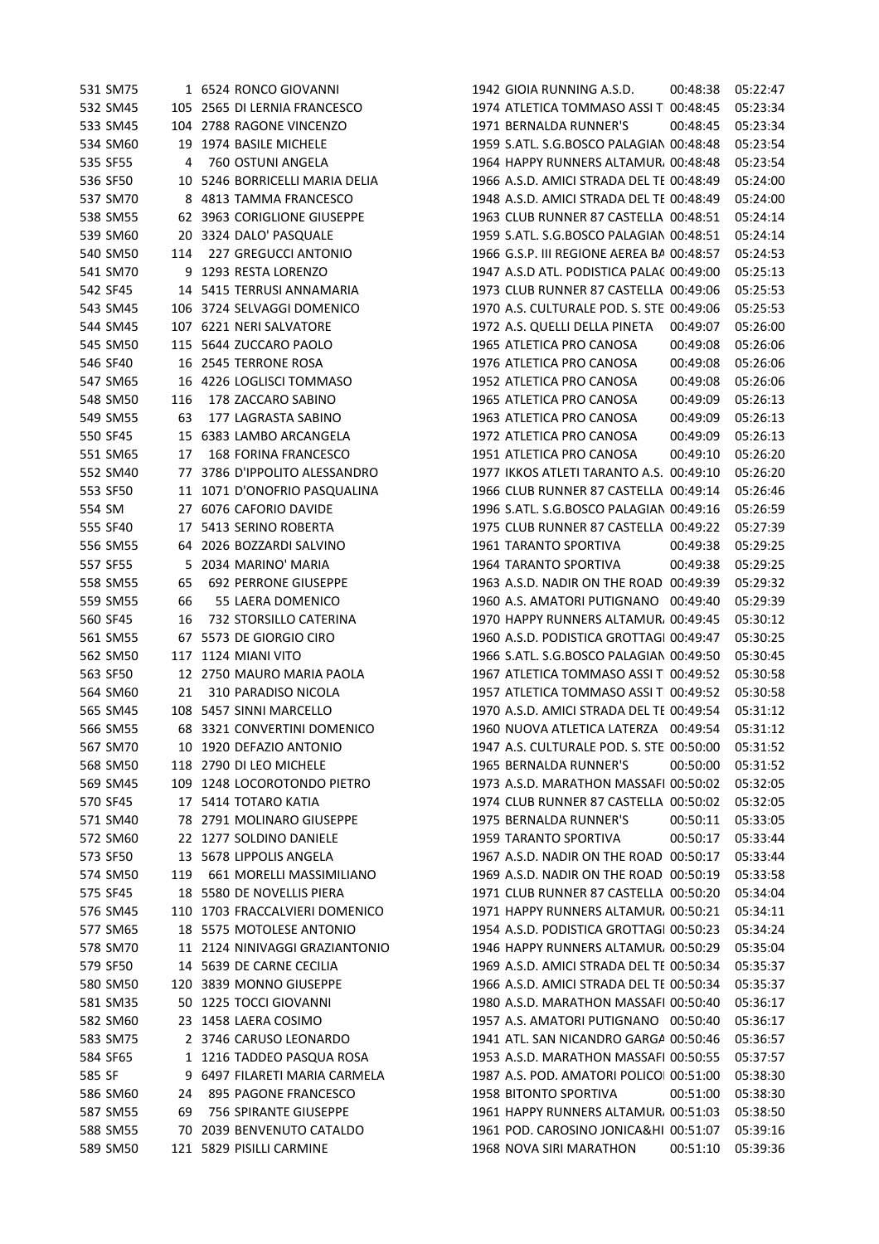|        | 531 SM75 |     | 1 6524 RONCO GIOVANNI          | 1942 GIOIA RUNNING A.S.D.                 | 00:48:38 | 05:22:47 |
|--------|----------|-----|--------------------------------|-------------------------------------------|----------|----------|
|        | 532 SM45 |     | 105 2565 DI LERNIA FRANCESCO   | 1974 ATLETICA TOMMASO ASSI T 00:48:45     |          | 05:23:34 |
|        | 533 SM45 | 104 | 2788 RAGONE VINCENZO           | 1971 BERNALDA RUNNER'S                    | 00:48:45 | 05:23:34 |
|        | 534 SM60 |     | 19 1974 BASILE MICHELE         | 1959 S.ATL. S.G.BOSCO PALAGIAN 00:48:48   |          | 05:23:54 |
|        | 535 SF55 | 4   | 760 OSTUNI ANGELA              | 1964 HAPPY RUNNERS ALTAMUR, 00:48:48      |          | 05:23:54 |
|        | 536 SF50 |     | 10 5246 BORRICELLI MARIA DELIA | 1966 A.S.D. AMICI STRADA DEL TE 00:48:49  |          | 05:24:00 |
|        | 537 SM70 |     | 8 4813 TAMMA FRANCESCO         | 1948 A.S.D. AMICI STRADA DEL TE 00:48:49  |          | 05:24:00 |
|        | 538 SM55 |     | 62 3963 CORIGLIONE GIUSEPPE    | 1963 CLUB RUNNER 87 CASTELLA 00:48:51     |          | 05:24:14 |
|        | 539 SM60 |     | 20 3324 DALO' PASQUALE         | 1959 S.ATL. S.G.BOSCO PALAGIAN 00:48:51   |          | 05:24:14 |
|        | 540 SM50 | 114 | <b>227 GREGUCCI ANTONIO</b>    | 1966 G.S.P. III REGIONE AEREA BA 00:48:57 |          | 05:24:53 |
|        | 541 SM70 |     | 9 1293 RESTA LORENZO           | 1947 A.S.D ATL. PODISTICA PALA( 00:49:00  |          | 05:25:13 |
|        | 542 SF45 |     | 14 5415 TERRUSI ANNAMARIA      | 1973 CLUB RUNNER 87 CASTELLA 00:49:06     |          | 05:25:53 |
|        | 543 SM45 |     | 106 3724 SELVAGGI DOMENICO     | 1970 A.S. CULTURALE POD. S. STE 00:49:06  |          | 05:25:53 |
|        | 544 SM45 |     | 107 6221 NERI SALVATORE        | 1972 A.S. QUELLI DELLA PINETA             | 00:49:07 | 05:26:00 |
|        | 545 SM50 |     | 115 5644 ZUCCARO PAOLO         | 1965 ATLETICA PRO CANOSA                  | 00:49:08 | 05:26:06 |
|        | 546 SF40 |     | 16 2545 TERRONE ROSA           | 1976 ATLETICA PRO CANOSA                  | 00:49:08 | 05:26:06 |
|        | 547 SM65 |     | 16 4226 LOGLISCI TOMMASO       | 1952 ATLETICA PRO CANOSA                  | 00:49:08 | 05:26:06 |
|        | 548 SM50 | 116 | 178 ZACCARO SABINO             | 1965 ATLETICA PRO CANOSA                  | 00:49:09 | 05:26:13 |
|        | 549 SM55 | 63  | 177 LAGRASTA SABINO            | 1963 ATLETICA PRO CANOSA                  | 00:49:09 | 05:26:13 |
|        | 550 SF45 |     | 15 6383 LAMBO ARCANGELA        | 1972 ATLETICA PRO CANOSA                  | 00:49:09 | 05:26:13 |
|        | 551 SM65 | 17  | 168 FORINA FRANCESCO           | 1951 ATLETICA PRO CANOSA                  | 00:49:10 | 05:26:20 |
|        | 552 SM40 |     | 77 3786 D'IPPOLITO ALESSANDRO  | 1977 IKKOS ATLETI TARANTO A.S. 00:49:10   |          | 05:26:20 |
|        | 553 SF50 |     | 11 1071 D'ONOFRIO PASQUALINA   | 1966 CLUB RUNNER 87 CASTELLA 00:49:14     |          | 05:26:46 |
| 554 SM |          |     | 27 6076 CAFORIO DAVIDE         | 1996 S.ATL. S.G.BOSCO PALAGIAN 00:49:16   |          | 05:26:59 |
|        | 555 SF40 | 17  | 5413 SERINO ROBERTA            | 1975 CLUB RUNNER 87 CASTELLA 00:49:22     |          | 05:27:39 |
|        | 556 SM55 |     | 64 2026 BOZZARDI SALVINO       | 1961 TARANTO SPORTIVA                     | 00:49:38 | 05:29:25 |
|        | 557 SF55 | 5.  | 2034 MARINO' MARIA             | 1964 TARANTO SPORTIVA                     | 00:49:38 | 05:29:25 |
|        | 558 SM55 | 65  | <b>692 PERRONE GIUSEPPE</b>    | 1963 A.S.D. NADIR ON THE ROAD 00:49:39    |          | 05:29:32 |
|        | 559 SM55 | 66  | 55 LAERA DOMENICO              | 1960 A.S. AMATORI PUTIGNANO 00:49:40      |          | 05:29:39 |
|        | 560 SF45 | 16  | 732 STORSILLO CATERINA         | 1970 HAPPY RUNNERS ALTAMUR, 00:49:45      |          | 05:30:12 |
|        | 561 SM55 | 67  | 5573 DE GIORGIO CIRO           | 1960 A.S.D. PODISTICA GROTTAGI 00:49:47   |          | 05:30:25 |
|        | 562 SM50 | 117 | 1124 MIANI VITO                | 1966 S.ATL. S.G.BOSCO PALAGIAN 00:49:50   |          | 05:30:45 |
|        | 563 SF50 |     | 12 2750 MAURO MARIA PAOLA      | 1967 ATLETICA TOMMASO ASSI T 00:49:52     |          | 05:30:58 |
|        | 564 SM60 | 21  | 310 PARADISO NICOLA            | 1957 ATLETICA TOMMASO ASSI T 00:49:52     |          | 05:30:58 |
|        | 565 SM45 |     | 108 5457 SINNI MARCELLO        | 1970 A.S.D. AMICI STRADA DEL TE 00:49:54  |          | 05:31:12 |
|        | 566 SM55 |     | 68 3321 CONVERTINI DOMENICO    | 1960 NUOVA ATLETICA LATERZA 00:49:54      |          | 05:31:12 |
|        | 567 SM70 |     |                                | 1947 A.S. CULTURALE POD. S. STE 00:50:00  |          |          |
|        |          |     | 10 1920 DEFAZIO ANTONIO        |                                           |          | 05:31:52 |
|        | 568 SM50 |     | 118 2790 DI LEO MICHELE        | 1965 BERNALDA RUNNER'S                    | 00:50:00 | 05:31:52 |
|        | 569 SM45 |     | 109 1248 LOCOROTONDO PIETRO    | 1973 A.S.D. MARATHON MASSAFI 00:50:02     |          | 05:32:05 |
|        | 570 SF45 |     | 17 5414 TOTARO KATIA           | 1974 CLUB RUNNER 87 CASTELLA 00:50:02     |          | 05:32:05 |
|        | 571 SM40 |     | 78 2791 MOLINARO GIUSEPPE      | 1975 BERNALDA RUNNER'S                    | 00:50:11 | 05:33:05 |
|        | 572 SM60 |     | 22 1277 SOLDINO DANIELE        | 1959 TARANTO SPORTIVA                     | 00:50:17 | 05:33:44 |
|        | 573 SF50 |     | 13 5678 LIPPOLIS ANGELA        | 1967 A.S.D. NADIR ON THE ROAD 00:50:17    |          | 05:33:44 |
|        | 574 SM50 | 119 | 661 MORELLI MASSIMILIANO       | 1969 A.S.D. NADIR ON THE ROAD 00:50:19    |          | 05:33:58 |
|        | 575 SF45 |     | 18 5580 DE NOVELLIS PIERA      | 1971 CLUB RUNNER 87 CASTELLA 00:50:20     |          | 05:34:04 |
|        | 576 SM45 |     | 110 1703 FRACCALVIERI DOMENICO | 1971 HAPPY RUNNERS ALTAMUR, 00:50:21      |          | 05:34:11 |
|        | 577 SM65 |     | 18 5575 MOTOLESE ANTONIO       | 1954 A.S.D. PODISTICA GROTTAGI 00:50:23   |          | 05:34:24 |
|        | 578 SM70 |     | 11 2124 NINIVAGGI GRAZIANTONIO | 1946 HAPPY RUNNERS ALTAMUR, 00:50:29      |          | 05:35:04 |
|        | 579 SF50 |     | 14 5639 DE CARNE CECILIA       | 1969 A.S.D. AMICI STRADA DEL TE 00:50:34  |          | 05:35:37 |
|        | 580 SM50 |     | 120 3839 MONNO GIUSEPPE        | 1966 A.S.D. AMICI STRADA DEL TE 00:50:34  |          | 05:35:37 |
|        | 581 SM35 |     | 50 1225 TOCCI GIOVANNI         | 1980 A.S.D. MARATHON MASSAFI 00:50:40     |          | 05:36:17 |
|        | 582 SM60 | 23. | 1458 LAERA COSIMO              | 1957 A.S. AMATORI PUTIGNANO 00:50:40      |          | 05:36:17 |
|        | 583 SM75 |     | 2 3746 CARUSO LEONARDO         | 1941 ATL. SAN NICANDRO GARGA 00:50:46     |          | 05:36:57 |
|        | 584 SF65 |     | 1 1216 TADDEO PASQUA ROSA      | 1953 A.S.D. MARATHON MASSAFI 00:50:55     |          | 05:37:57 |
| 585 SF |          |     | 9 6497 FILARETI MARIA CARMELA  | 1987 A.S. POD. AMATORI POLICO 00:51:00    |          | 05:38:30 |
|        | 586 SM60 | 24  | 895 PAGONE FRANCESCO           | 1958 BITONTO SPORTIVA                     | 00:51:00 | 05:38:30 |
|        | 587 SM55 | 69  | 756 SPIRANTE GIUSEPPE          | 1961 HAPPY RUNNERS ALTAMUR, 00:51:03      |          | 05:38:50 |
|        | 588 SM55 |     | 70 2039 BENVENUTO CATALDO      | 1961 POD. CAROSINO JONICA&HI 00:51:07     |          | 05:39:16 |
|        | 589 SM50 |     | 121 5829 PISILLI CARMINE       | 1968 NOVA SIRI MARATHON                   | 00:51:10 | 05:39:36 |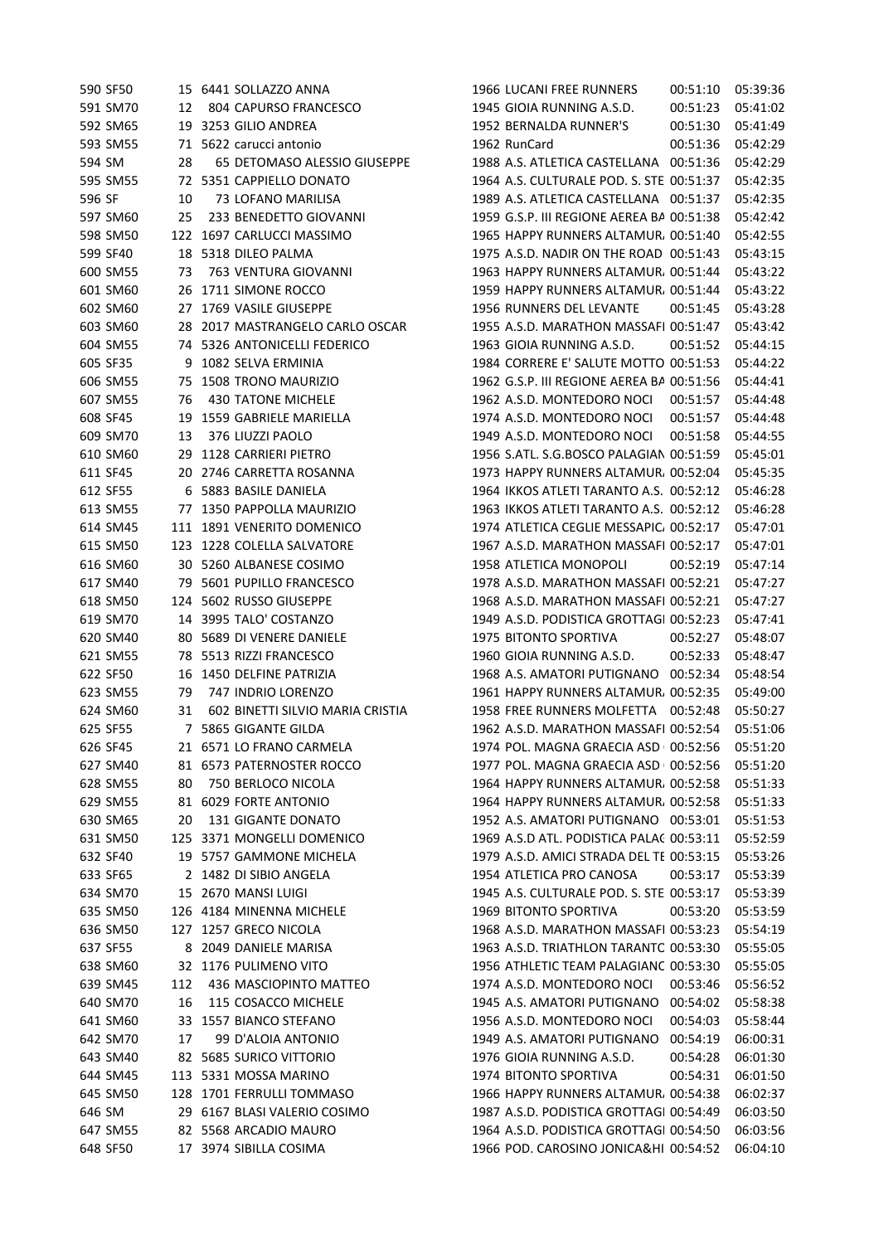|        | 590 SF50 |     | 15 6441 SOLLAZZO ANNA            | 1966 LUCANI FREE RUNNERS                      | 00:51:10 | 05:39:36 |
|--------|----------|-----|----------------------------------|-----------------------------------------------|----------|----------|
|        | 591 SM70 | 12  | 804 CAPURSO FRANCESCO            | 1945 GIOIA RUNNING A.S.D.                     | 00:51:23 | 05:41:02 |
|        | 592 SM65 | 19  | 3253 GILIO ANDREA                | 1952 BERNALDA RUNNER'S                        | 00:51:30 | 05:41:49 |
|        | 593 SM55 |     | 71 5622 carucci antonio          | 1962 RunCard                                  | 00:51:36 | 05:42:29 |
| 594 SM |          | 28  | 65 DETOMASO ALESSIO GIUSEPPE     | 1988 A.S. ATLETICA CASTELLANA 00:51:36        |          | 05:42:29 |
|        | 595 SM55 |     | 72 5351 CAPPIELLO DONATO         | 1964 A.S. CULTURALE POD. S. STE 00:51:37      |          | 05:42:35 |
| 596 SF |          | 10  | 73 LOFANO MARILISA               | 1989 A.S. ATLETICA CASTELLANA 00:51:37        |          | 05:42:35 |
|        | 597 SM60 | 25  | 233 BENEDETTO GIOVANNI           | 1959 G.S.P. III REGIONE AEREA BA 00:51:38     |          | 05:42:42 |
|        | 598 SM50 |     | 122 1697 CARLUCCI MASSIMO        | 1965 HAPPY RUNNERS ALTAMUR, 00:51:40          |          | 05:42:55 |
|        | 599 SF40 |     | 18 5318 DILEO PALMA              | 1975 A.S.D. NADIR ON THE ROAD 00:51:43        |          | 05:43:15 |
|        | 600 SM55 | 73  | 763 VENTURA GIOVANNI             | 1963 HAPPY RUNNERS ALTAMUR, 00:51:44          |          | 05:43:22 |
|        | 601 SM60 |     | 26 1711 SIMONE ROCCO             | 1959 HAPPY RUNNERS ALTAMUR, 00:51:44          |          | 05:43:22 |
|        | 602 SM60 |     | 27 1769 VASILE GIUSEPPE          | 1956 RUNNERS DEL LEVANTE                      | 00:51:45 | 05:43:28 |
|        | 603 SM60 |     | 28 2017 MASTRANGELO CARLO OSCAR  | 1955 A.S.D. MARATHON MASSAFI 00:51:47         |          | 05:43:42 |
|        | 604 SM55 |     | 74 5326 ANTONICELLI FEDERICO     | 1963 GIOIA RUNNING A.S.D.                     | 00:51:52 | 05:44:15 |
|        | 605 SF35 | 9   | 1082 SELVA ERMINIA               | 1984 CORRERE E' SALUTE MOTTO 00:51:53         |          | 05:44:22 |
|        | 606 SM55 |     | 75 1508 TRONO MAURIZIO           | 1962 G.S.P. III REGIONE AEREA BA 00:51:56     |          | 05:44:41 |
|        | 607 SM55 | 76  | <b>430 TATONE MICHELE</b>        | 1962 A.S.D. MONTEDORO NOCI                    | 00:51:57 | 05:44:48 |
|        | 608 SF45 |     | 19 1559 GABRIELE MARIELLA        | 1974 A.S.D. MONTEDORO NOCI                    | 00:51:57 | 05:44:48 |
|        | 609 SM70 |     | 376 LIUZZI PAOLO                 | 1949 A.S.D. MONTEDORO NOCI                    |          |          |
|        |          | 13  | 29 1128 CARRIERI PIETRO          |                                               | 00:51:58 | 05:44:55 |
|        | 610 SM60 |     |                                  | 1956 S.ATL. S.G.BOSCO PALAGIAN 00:51:59       |          | 05:45:01 |
|        | 611 SF45 |     | 20 2746 CARRETTA ROSANNA         | 1973 HAPPY RUNNERS ALTAMUR, 00:52:04          |          | 05:45:35 |
|        | 612 SF55 |     | 6 5883 BASILE DANIELA            | 1964 IKKOS ATLETI TARANTO A.S. 00:52:12       |          | 05:46:28 |
|        | 613 SM55 | 77  | 1350 PAPPOLLA MAURIZIO           | 1963 IKKOS ATLETI TARANTO A.S. 00:52:12       |          | 05:46:28 |
|        | 614 SM45 | 111 | 1891 VENERITO DOMENICO           | 1974 ATLETICA CEGLIE MESSAPIC, 00:52:17       |          | 05:47:01 |
|        | 615 SM50 |     | 123 1228 COLELLA SALVATORE       | 1967 A.S.D. MARATHON MASSAFI 00:52:17         |          | 05:47:01 |
|        | 616 SM60 |     | 30 5260 ALBANESE COSIMO          | 1958 ATLETICA MONOPOLI                        | 00:52:19 | 05:47:14 |
|        | 617 SM40 | 79. | 5601 PUPILLO FRANCESCO           | 1978 A.S.D. MARATHON MASSAFI 00:52:21         |          | 05:47:27 |
|        | 618 SM50 |     | 124 5602 RUSSO GIUSEPPE          | 1968 A.S.D. MARATHON MASSAFI 00:52:21         |          | 05:47:27 |
|        | 619 SM70 |     | 14 3995 TALO' COSTANZO           | 1949 A.S.D. PODISTICA GROTTAGI 00:52:23       |          | 05:47:41 |
|        | 620 SM40 |     | 80 5689 DI VENERE DANIELE        | 1975 BITONTO SPORTIVA                         | 00:52:27 | 05:48:07 |
|        | 621 SM55 |     | 78 5513 RIZZI FRANCESCO          | 1960 GIOIA RUNNING A.S.D.                     | 00:52:33 | 05:48:47 |
|        | 622 SF50 | 16  | 1450 DELFINE PATRIZIA            | 1968 A.S. AMATORI PUTIGNANO 00:52:34          |          | 05:48:54 |
|        | 623 SM55 | 79  | 747 INDRIO LORENZO               | 1961 HAPPY RUNNERS ALTAMUR, 00:52:35          |          | 05:49:00 |
|        | 624 SM60 | 31  | 602 BINETTI SILVIO MARIA CRISTIA | 1958 FREE RUNNERS MOLFETTA 00:52:48           |          | 05:50:27 |
|        | 625 SF55 |     | 7 5865 GIGANTE GILDA             | 1962 A.S.D. MARATHON MASSAFI 00:52:54         |          | 05:51:06 |
|        | 626 SF45 |     | 21 6571 LO FRANO CARMELA         | 1974 POL. MAGNA GRAECIA ASD 00:52:56 05:51:20 |          |          |
|        | 627 SM40 |     | 81 6573 PATERNOSTER ROCCO        | 1977 POL. MAGNA GRAECIA ASD 00:52:56          |          | 05:51:20 |
|        | 628 SM55 | 80  | 750 BERLOCO NICOLA               | 1964 HAPPY RUNNERS ALTAMUR. 00:52:58          |          | 05:51:33 |
|        | 629 SM55 |     | 81 6029 FORTE ANTONIO            | 1964 HAPPY RUNNERS ALTAMUR, 00:52:58          |          | 05:51:33 |
|        | 630 SM65 | 20  | 131 GIGANTE DONATO               | 1952 A.S. AMATORI PUTIGNANO 00:53:01          |          | 05:51:53 |
|        | 631 SM50 |     | 125 3371 MONGELLI DOMENICO       | 1969 A.S.D ATL. PODISTICA PALAC 00:53:11      |          | 05:52:59 |
|        | 632 SF40 |     | 19 5757 GAMMONE MICHELA          | 1979 A.S.D. AMICI STRADA DEL TE 00:53:15      |          | 05:53:26 |
|        | 633 SF65 |     | 2 1482 DI SIBIO ANGELA           | 1954 ATLETICA PRO CANOSA                      | 00:53:17 | 05:53:39 |
|        | 634 SM70 |     | 15 2670 MANSI LUIGI              | 1945 A.S. CULTURALE POD. S. STE 00:53:17      |          | 05:53:39 |
|        | 635 SM50 |     | 126 4184 MINENNA MICHELE         | 1969 BITONTO SPORTIVA                         | 00:53:20 | 05:53:59 |
|        | 636 SM50 | 127 | 1257 GRECO NICOLA                | 1968 A.S.D. MARATHON MASSAFI 00:53:23         |          | 05:54:19 |
|        | 637 SF55 | 8   | 2049 DANIELE MARISA              | 1963 A.S.D. TRIATHLON TARANTC 00:53:30        |          | 05:55:05 |
|        | 638 SM60 |     | 32 1176 PULIMENO VITO            | 1956 ATHLETIC TEAM PALAGIANC 00:53:30         |          | 05:55:05 |
|        | 639 SM45 | 112 | 436 MASCIOPINTO MATTEO           | 1974 A.S.D. MONTEDORO NOCI                    | 00:53:46 | 05:56:52 |
|        | 640 SM70 | 16  | 115 COSACCO MICHELE              | 1945 A.S. AMATORI PUTIGNANO 00:54:02          |          | 05:58:38 |
|        | 641 SM60 | 33  | 1557 BIANCO STEFANO              | 1956 A.S.D. MONTEDORO NOCI                    | 00:54:03 | 05:58:44 |
|        | 642 SM70 | 17  | 99 D'ALOIA ANTONIO               | 1949 A.S. AMATORI PUTIGNANO 00:54:19          |          | 06:00:31 |
|        | 643 SM40 |     | 82 5685 SURICO VITTORIO          | 1976 GIOIA RUNNING A.S.D.                     | 00:54:28 | 06:01:30 |
|        | 644 SM45 |     | 113 5331 MOSSA MARINO            | 1974 BITONTO SPORTIVA                         | 00:54:31 | 06:01:50 |
|        | 645 SM50 |     | 128 1701 FERRULLI TOMMASO        | 1966 HAPPY RUNNERS ALTAMUR. 00:54:38          |          | 06:02:37 |
| 646 SM |          |     | 29 6167 BLASI VALERIO COSIMO     | 1987 A.S.D. PODISTICA GROTTAGI 00:54:49       |          | 06:03:50 |
|        | 647 SM55 |     | 82 5568 ARCADIO MAURO            | 1964 A.S.D. PODISTICA GROTTAGI 00:54:50       |          | 06:03:56 |
|        | 648 SF50 |     | 17 3974 SIBILLA COSIMA           | 1966 POD. CAROSINO JONICA&HI 00:54:52         |          | 06:04:10 |
|        |          |     |                                  |                                               |          |          |